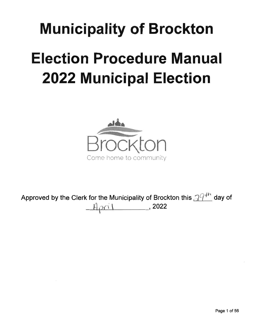# Municipality of Brockton Election Procedure Manual **2022 Municipal Election**



Approved by the Clerk for the Municipality of Brockton this  $\mathcal{Q}^{q+n}$  day of  $Hpr1$ , 2022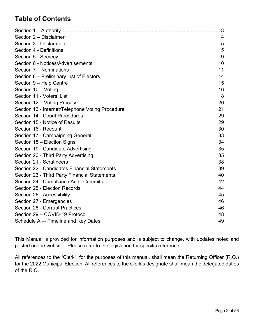# **Table of Contents**

|                                                  | 3  |
|--------------------------------------------------|----|
| Section 2 - Disclaimer                           | 4  |
| Section 3 - Declaration                          | 5  |
| Section 4 - Definitions                          | 5  |
| Section 5 - Secrecy                              | 9  |
| Section 6 - Notices/Advertisements               | 10 |
| Section 7 - Nominations                          | 11 |
| Section 8 - Preliminary List of Electors         | 14 |
| Section 9 - Help Centre                          | 15 |
| Section 10 - Voting                              | 16 |
| Section 11 - Voters' List                        | 18 |
| Section 12 - Voting Process                      | 20 |
| Section 13 - Internet/Telephone Voting Procedure | 21 |
| Section 14 - Count Procedures                    | 29 |
| Section 15 - Notice of Results                   | 29 |
| Section 16 - Recount                             | 30 |
| Section 17 - Campaigning General                 | 33 |
| Section 18 - Election Signs                      | 34 |
| Section 19 - Candidate Advertising               | 35 |
| Section 20 - Third Party Advertising             | 35 |
| Section 21 - Scrutineers                         | 38 |
| Section 22 - Candidates Financial Statements     | 39 |
| Section 23 - Third Party Financial Statements    | 40 |
| Section 24 - Compliance Audit Committee          | 42 |
| Section 25 - Election Records                    | 44 |
| Section 26 - Accessibility                       | 45 |
| Section 27 - Emergencies                         | 46 |
| Section 28 - Corrupt Practices                   | 46 |
| Section 29 - COVID-19 Protocol                   | 48 |
| Schedule A -- Timeline and Key Dates             | 49 |

This Manual is provided for information purposes and is subject to change, with updates noted and posted on the website. Please refer to the legislation for specific reference.

All references to the "Clerk", for the purposes of this manual, shall mean the Returning Officer (R.O.) for the 2022 Municipal Election. All references to the Clerk's designate shall mean the delegated duties of the R.O.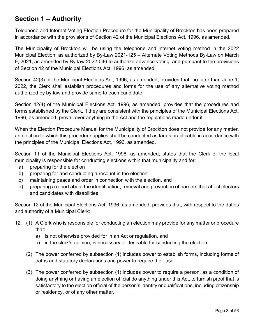# <span id="page-2-0"></span>**Section 1 – Authority**

Telephone and Internet Voting Election Procedure for the Municipality of Brockton has been prepared in accordance with the provisions of Section 42 of the Municipal Elections Act, 1996, as amended.

The Municipality of Brockton will be using the telephone and internet voting method in the 2022 Municipal Election, as authorized by By-Law 2021-125 – Alternate Voting Methods By-Law on March 9, 2021, as amended by By-law 2022-046 to authorize advance voting. and pursuant to the provisions of Section 42 of the Municipal Elections Act, 1996, as amended.

Section 42(3) of the Municipal Elections Act, 1996, as amended, provides that, no later than June 1, 2022, the Clerk shall establish procedures and forms for the use of any alternative voting method authorized by by-law and provide same to each candidate.

Section 42(4) of the Municipal Elections Act, 1996, as amended, provides that the procedures and forms established by the Clerk, if they are consistent with the principles of the Municipal Elections Act, 1996, as amended, prevail over anything in the Act and the regulations made under it.

When the Election Procedure Manual for the Municipality of Brockton does not provide for any matter, an election to which this procedure applies shall be conducted as far as practicable in accordance with the principles of the Municipal Elections Act, 1996, as amended.

Section 11 of the Municipal Elections Act, 1996, as amended, states that the Clerk of the local municipality is responsible for conducting elections within that municipality and for:

- a) preparing for the election
- b) preparing for and conducting a recount in the election
- c) maintaining peace and order in connection with the election, and
- d) preparing a report about the identification, removal and prevention of barriers that affect electors and candidates with disabilities

Section 12 of the Municipal Elections Act, 1996, as amended, provides that, with respect to the duties and authority of a Municipal Clerk:

- 12. (1) A Clerk who is responsible for conducting an election may provide for any matter or procedure that:
	- a) is not otherwise provided for in an Act or regulation, and
	- b) in the clerk's opinion, is necessary or desirable for conducting the election
	- (2) The power conferred by subsection (1) includes power to establish forms, including forms of oaths and statutory declarations and power to require their use.
	- (3) The power conferred by subsection (1) includes power to require a person, as a condition of doing anything or having an election official do anything under this Act, to furnish proof that is satisfactory to the election official of the person's identity or qualifications, including citizenship or residency, or of any other matter.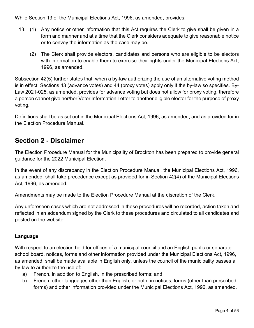While Section 13 of the Municipal Elections Act, 1996, as amended, provides:

- 13. (1) Any notice or other information that this Act requires the Clerk to give shall be given in a form and manner and at a time that the Clerk considers adequate to give reasonable notice or to convey the information as the case may be.
	- (2) The Clerk shall provide electors, candidates and persons who are eligible to be electors with information to enable them to exercise their rights under the Municipal Elections Act, 1996, as amended.

Subsection 42(5) further states that, when a by-law authorizing the use of an alternative voting method is in effect, Sections 43 (advance votes) and 44 (proxy votes) apply only if the by-law so specifies. By-Law 2021-025, as amended, provides for advance voting but does not allow for proxy voting, therefore a person cannot give her/her Voter Information Letter to another eligible elector for the purpose of proxy voting.

Definitions shall be as set out in the Municipal Elections Act, 1996, as amended, and as provided for in the Election Procedure Manual.

## <span id="page-3-0"></span>**Section 2 - Disclaimer**

The Election Procedure Manual for the Municipality of Brockton has been prepared to provide general guidance for the 2022 Municipal Election.

In the event of any discrepancy in the Election Procedure Manual, the Municipal Elections Act, 1996, as amended, shall take precedence except as provided for in Section 42(4) of the Municipal Elections Act, 1996, as amended.

Amendments may be made to the Election Procedure Manual at the discretion of the Clerk.

Any unforeseen cases which are not addressed in these procedures will be recorded, action taken and reflected in an addendum signed by the Clerk to these procedures and circulated to all candidates and posted on the website.

#### **Language**

With respect to an election held for offices of a municipal council and an English public or separate school board, notices, forms and other information provided under the Municipal Elections Act, 1996, as amended, shall be made available in English only, unless the council of the municipality passes a by-law to authorize the use of:

- a) French, in addition to English, in the prescribed forms; and
- b) French, other languages other than English, or both, in notices, forms (other than prescribed forms) and other information provided under the Municipal Elections Act, 1996, as amended.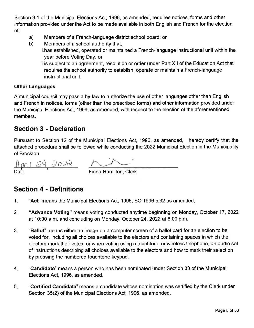Section 9.1 of the Municipal Elections Act, 1996, as amended, requires notices, forms and other information provided under the Act to be made available in both English and French for the election of:

- a) Members of a French-language district school board; or
- b) Members of a school authority that, i.has established, operated or maintained a French-language instructional unit within the year before Voting Day, or
	- ii.is subject to an agreement, resolution or order under Part Xll of the Education Act that requires the school authority to establish, operate or maintain a French-language instructional unit.

#### Other Languages

A municipal council may pass a by-law to authorize the use of other languages other than English and French in notices, forms (other than the prescribed forms) and other information provided under the Municipal Elections Act, 1996, as amended, with respect to the election of the aforementioned members.

## <span id="page-4-0"></span>Section 3 - Declaration

Pursuant to Section 12 of the Municipal Elections Act, 1996, as amended, I hereby certify that the attached procedure shall be followed while conducting the 2022 Municipal Election in the Municipality of Brockton.

<u>April 29 2022</u> <u>Date</u> 7 Tiona Hamilton, Clerk

## <span id="page-4-1"></span>Section 4 - Definitions

- "Act" means the Municipal Elections Act, 1996, SO 1996 c.32 as amended. .
- 2. "Advance Voting" means voting conducted anytime beginning on Monday, October 17, 2022 at 10:00 a.m. and concluding on Monday, October 24, 2022 at 8:00 p.m.
- 3 "Ballot" means either an image on a computer screen of a ballot card for an election to be voted for, including all choices available to the electors and containing spaces in which the electors mark their votes; or when voting using a touchtone or wireless telephone, an audio set of instructions describing all choices available to the electors and how to mark their selection by pressing the numbered touchtone keypad.
- 4 "Candidate" means a person who has been nominated under Section 33 of the Municipal Elections Act, 1996, as amended.
- 5 "Certified Gandidate" means a candidate whose nomination was certified by the Clerk under Section 35(2) of the Municipal Elections Act, 1996, as amended.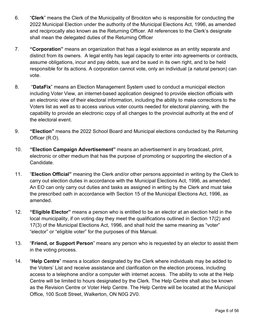- 6. "**Clerk**" means the Clerk of the Municipality of Brockton who is responsible for conducting the 2022 Municipal Election under the authority of the Municipal Elections Act, 1996, as amended and reciprocally also known as the Returning Officer. All references to the Clerk's designate shall mean the delegated duties of the Returning Officer
- 7. **"Corporation"** means an organization that has a legal existence as an entity separate and distinct from its owners. A legal entity has legal capacity to enter into agreements or contracts, assume obligations, incur and pay debts, sue and be sued in its own right, and to be held responsible for its actions. A corporation cannot vote, only an individual (a natural person) can vote.
- 8. "**DataFix**" means an Election Management System used to conduct a municipal election including Voter View, an internet-based application designed to provide election officials with an electronic view of their electoral information, including the ability to make corrections to the Voters list as well as to access various voter counts needed for electoral planning, with the capability to provide an electronic copy of all changes to the provincial authority at the end of the electoral event.
- 9. **"Election"** means the 2022 School Board and Municipal elections conducted by the Returning Officer (R.O).
- 10. **"Election Campaign Advertisement"** means an advertisement in any broadcast, print, electronic or other medium that has the purpose of promoting or supporting the election of a Candidate.
- 11. "**Election Official"** meaning the Clerk and/or other persons appointed in writing by the Clerk to carry out election duties in accordance with the Municipal Elections Act, 1996, as amended. An EO can only carry out duties and tasks as assigned in writing by the Clerk and must take the prescribed oath in accordance with Section 15 of the Municipal Elections Act, 1996, as amended.
- 12. **"Eligible Elector"** means a person who is entitled to be an elector at an election held in the local municipality, if on voting day they meet the qualifications outlined in Section 17(2) and 17(3) of the Municipal Elections Act, 1996, and shall hold the same meaning as "voter" "elector" or "eligible voter" for the purposes of this Manual.
- 13. "**Friend, or Support Person**" means any person who is requested by an elector to assist them in the voting process.
- 14. "**Help Centre**" means a location designated by the Clerk where individuals may be added to the Voters' List and receive assistance and clarification on the election process, including access to a telephone and/or a computer with internet access. The ability to vote at the Help Centre will be limited to hours designated by the Clerk. The Help Centre shall also be known as the Revision Centre or Voter Help Centre. The Help Centre will be located at the Municipal Office, 100 Scott Street, Walkerton, ON N0G 2V0.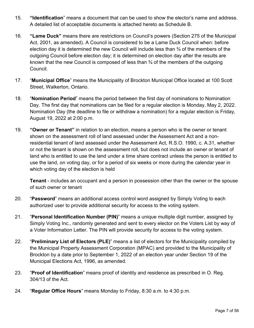- 15. **"Identification**" means a document that can be used to show the elector's name and address. A detailed list of acceptable documents is attached hereto as Schedule B.
- 16. **"Lame Duck"** means there are restrictions on Council's powers (Section 275 of the Municipal Act, 2001, as amended). A Council is considered to be a Lame Duck Council when: before election day it is determined the new Council will include less than ¾ of the members of the outgoing Council before election day; it is determined on election day after the results are known that the new Council is composed of less than  $\frac{3}{4}$  of the members of the outgoing Council.
- 17. "**Municipal Office**" means the Municipality of Brockton Municipal Office located at 100 Scott Street, Walkerton, Ontario.
- 18. "**Nomination Period**" means the period between the first day of nominations to Nomination Day. The first day that nominations can be filed for a regular election is Monday, May 2, 2022. Nomination Day (the deadline to file or withdraw a nomination) for a regular election is Friday, August 19, 2022 at 2:00 p.m.
- 19. **"Owner or Tenant"** in relation to an election, means a person who is the owner or tenant shown on the assessment roll of land assessed under the Assessment Act and a nonresidential tenant of land assessed under the Assessment Act, R.S.O. 1990, c. A.31, whether or not the tenant is shown on the assessment roll, but does not include an owner or tenant of land who is entitled to use the land under a time share contract unless the person is entitled to use the land, on voting day, or for a period of six weeks or more during the calendar year in which voting day of the election is held

**Tenant** - includes an occupant and a person in possession other than the owner or the spouse of such owner or tenant

- 20. "**Password**" means an additional access control word assigned by Simply Voting to each authorized user to provide additional security for access to the voting system.
- 21. "**Personal Identification Number (PIN)**" means a unique multiple digit number, assigned by Simply Voting Inc., randomly generated and sent to every elector on the Voters List by way of a Voter Information Letter. The PIN will provide security for access to the voting system.
- 22. "**Preliminary List of Electors (PLE)**" means a list of electors for the Municipality compiled by the Municipal Property Assessment Corporation (MPAC) and provided to the Municipality of Brockton by a date prior to September 1, 2022 of an election year under Section 19 of the Municipal Elections Act, 1996, as amended.
- 23. "**Proof of Identification**" means proof of identity and residence as prescribed in O. Reg. 304/13 of the Act.
- 24. "**Regular Office Hours**" means Monday to Friday, 8:30 a.m. to 4:30 p.m.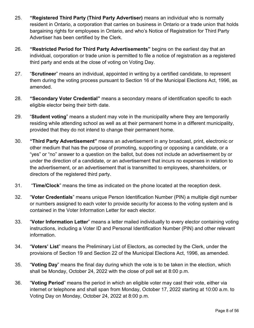- 25. **"Registered Third Party (Third Party Advertiser)** means an individual who is normally resident in Ontario, a corporation that carries on business in Ontario or a trade union that holds bargaining rights for employees in Ontario, and who's Notice of Registration for Third Party Advertiser has been certified by the Clerk.
- 26. **"Restricted Period for Third Party Advertisements"** begins on the earliest day that an individual, corporation or trade union is permitted to file a notice of registration as a registered third party and ends at the close of voting on Voting Day.
- 27. "**Scrutineer**" means an individual, appointed in writing by a certified candidate, to represent them during the voting process pursuant to Section 16 of the Municipal Elections Act, 1996, as amended.
- 28. **"Secondary Voter Credential"** means a secondary means of identification specific to each eligible elector being their birth date.
- 29. "**Student voting**" means a student may vote in the municipality where they are temporarily residing while attending school as well as at their permanent home in a different municipality, provided that they do not intend to change their permanent home.
- 30. **"Third Party Advertisement"** means an advertisement in any broadcast, print, electronic or other medium that has the purpose of promoting, supporting or opposing a candidate, or a "yes" or "no" answer to a question on the ballot, but does not include an advertisement by or under the direction of a candidate, or an advertisement that incurs no expenses in relation to the advertisement, or an advertisement that is transmitted to employees, shareholders, or directors of the registered third party.
- 31. "**Time/Clock**" means the time as indicated on the phone located at the reception desk.
- 32. "**Voter Credentials**" means unique Person Identification Number (PIN) a multiple digit number or numbers assigned to each voter to provide security for access to the voting system and is contained in the Voter Information Letter for each elector.
- 33. "**Voter Information Letter**" means a letter mailed individually to every elector containing voting instructions, including a Voter ID and Personal Identification Number (PIN) and other relevant information.
- 34. "**Voters' List**" means the Preliminary List of Electors, as corrected by the Clerk, under the provisions of Section 19 and Section 22 of the Municipal Elections Act, 1996, as amended.
- 35. "**Voting Day**" means the final day during which the vote is to be taken in the election, which shall be Monday, October 24, 2022 with the close of poll set at 8:00 p.m.
- 36. "**Voting Period**" means the period in which an eligible voter may cast their vote, either via internet or telephone and shall span from Monday, October 17, 2022 starting at 10:00 a.m. to Voting Day on Monday, October 24, 2022 at 8:00 p.m.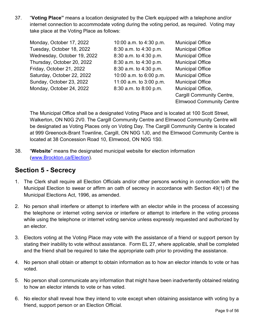37. "**Voting Place"** means a location designated by the Clerk equipped with a telephone and/or internet connection to accommodate voting during the voting period, as required. Voting may take place at the Voting Place as follows:

| Monday, October 17, 2022    | 10:00 a.m. to 4:30 p.m. | <b>Municipal Office</b>          |
|-----------------------------|-------------------------|----------------------------------|
| Tuesday, October 18, 2022   | 8:30 a.m. to 4:30 p.m.  | <b>Municipal Office</b>          |
| Wednesday, October 19, 2022 | 8:30 a.m. to 4:30 p.m.  | <b>Municipal Office</b>          |
| Thursday, October 20, 2022  | 8:30 a.m. to 4:30 p.m.  | <b>Municipal Office</b>          |
| Friday, October 21, 2022    | 8:30 a.m. to 4:30 p.m.  | <b>Municipal Office</b>          |
| Saturday, October 22, 2022  | 10:00 a.m. to 6:00 p.m. | <b>Municipal Office</b>          |
| Sunday, October 23, 2022    | 11:00 a.m. to 3:00 p.m. | <b>Municipal Office</b>          |
| Monday, October 24, 2022    | 8:30 a.m. to 8:00 p.m.  | Municipal Office,                |
|                             |                         | <b>Cargill Community Centre,</b> |
|                             |                         | <b>Elmwood Community Centre</b>  |

The Municipal Office shall be a designated Voting Place and is located at 100 Scott Street, Walkerton, ON N0G 2V0. The Cargill Community Centre and Elmwood Community Centre will be designated as Voting Places only on Voting Day. The Cargill Community Centre is located at 999 Greenock-Brant Townline, Cargill, ON N0G 1J0, and the Elmwood Community Centre is located at 38 Concession Road 10, Elmwood, ON N0G 1S0.

38. "**Website**" means the designated municipal website for election information [\(www.Brockton.ca/Election\)](http://www.brockton.ca/Election).

## <span id="page-8-0"></span>**Section 5 - Secrecy**

- 1. The Clerk shall require all Election Officials and/or other persons working in connection with the Municipal Election to swear or affirm an oath of secrecy in accordance with Section 49(1) of the Municipal Elections Act, 1996, as amended.
- 2. No person shall interfere or attempt to interfere with an elector while in the process of accessing the telephone or internet voting service or interfere or attempt to interfere in the voting process while using the telephone or internet voting service unless expressly requested and authorized by an elector.
- 3. Electors voting at the Voting Place may vote with the assistance of a friend or support person by stating their inability to vote without assistance. Form EL 27, where applicable, shall be completed and the friend shall be required to take the appropriate oath prior to providing the assistance.
- 4. No person shall obtain or attempt to obtain information as to how an elector intends to vote or has voted.
- 5. No person shall communicate any information that might have been inadvertently obtained relating to how an elector intends to vote or has voted.
- 6. No elector shall reveal how they intend to vote except when obtaining assistance with voting by a friend, support person or an Election Official.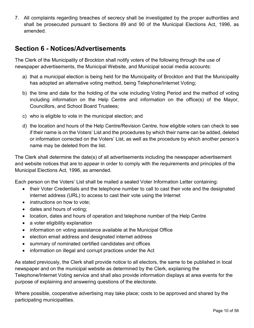7. All complaints regarding breaches of secrecy shall be investigated by the proper authorities and shall be prosecuted pursuant to Sections 89 and 90 of the Municipal Elections Act, 1996, as amended.

## <span id="page-9-0"></span>**Section 6 - Notices/Advertisements**

The Clerk of the Municipality of Brockton shall notify voters of the following through the use of newspaper advertisements, the Municipal Website, and Municipal social media accounts:

- a) that a municipal election is being held for the Municipality of Brockton and that the Municipality has adopted an alternative voting method, being Telephone/Internet Voting;
- b) the time and date for the holding of the vote including Voting Period and the method of voting including information on the Help Centre and information on the office(s) of the Mayor, Councillors, and School Board Trustees;
- c) who is eligible to vote in the municipal election; and
- d) the location and hours of the Help Centre/Revision Centre, how eligible voters can check to see if their name is on the Voters' List and the procedures by which their name can be added, deleted or information corrected on the Voters' List, as well as the procedure by which another person's name may be deleted from the list.

The Clerk shall determine the date(s) of all advertisements including the newspaper advertisement and website notices that are to appear in order to comply with the requirements and principles of the Municipal Elections Act, 1996, as amended.

Each person on the Voters' List shall be mailed a sealed Voter Information Letter containing:

- their Voter Credentials and the telephone number to call to cast their vote and the designated internet address (URL) to access to cast their vote using the Internet
- instructions on how to vote:
- dates and hours of voting;
- location, dates and hours of operation and telephone number of the Help Centre
- a voter eligibility explanation
- information on voting assistance available at the Municipal Office
- election email address and designated internet address
- summary of nominated certified candidates and offices
- information on illegal and corrupt practices under the Act

As stated previously, the Clerk shall provide notice to all electors, the same to be published in local newspaper and on the municipal website as determined by the Clerk, explaining the Telephone/Internet Voting service and shall also provide information displays at area events for the purpose of explaining and answering questions of the electorate.

Where possible, cooperative advertising may take place; costs to be approved and shared by the participating municipalities.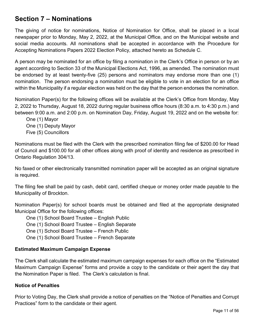## <span id="page-10-0"></span>**Section 7 – Nominations**

The giving of notice for nominations, Notice of Nomination for Office, shall be placed in a local newspaper prior to Monday, May 2, 2022, at the Municipal Office, and on the Municipal website and social media accounts. All nominations shall be accepted in accordance with the Procedure for Accepting Nominations Papers 2022 Election Policy, attached hereto as Schedule C.

A person may be nominated for an office by filing a nomination in the Clerk's Office in person or by an agent according to Section 33 of the Municipal Elections Act, 1996, as amended. The nomination must be endorsed by at least twenty-five (25) persons and nominators may endorse more than one (1) nomination. The person endorsing a nomination must be eligible to vote in an election for an office within the Municipality if a regular election was held on the day that the person endorses the nomination.

Nomination Paper(s) for the following offices will be available at the Clerk's Office from Monday, May 2, 2022 to Thursday, August 18, 2022 during regular business office hours (8:30 a.m. to 4:30 p.m.) and between 9:00 a.m. and 2:00 p.m. on Nomination Day, Friday, August 19, 2022 and on the website for:

One (1) Mayor One (1) Deputy Mayor Five (5) Councillors

Nominations must be filed with the Clerk with the prescribed nomination filing fee of \$200.00 for Head of Council and \$100.00 for all other offices along with proof of identity and residence as prescribed in Ontario Regulation 304/13.

No faxed or other electronically transmitted nomination paper will be accepted as an original signature is required.

The filing fee shall be paid by cash, debit card, certified cheque or money order made payable to the Municipality of Brockton.

Nomination Paper(s) for school boards must be obtained and filed at the appropriate designated Municipal Office for the following offices:

One (1) School Board Trustee – English Public

One (1) School Board Trustee – English Separate

One (1) School Board Trustee – French Public

One (1) School Board Trustee – French Separate

#### **Estimated Maximum Campaign Expense**

The Clerk shall calculate the estimated maximum campaign expenses for each office on the "Estimated Maximum Campaign Expense" forms and provide a copy to the candidate or their agent the day that the Nomination Paper is filed. The Clerk's calculation is final.

#### **Notice of Penalties**

Prior to Voting Day, the Clerk shall provide a notice of penalties on the "Notice of Penalties and Corrupt Practices" form to the candidate or their agent.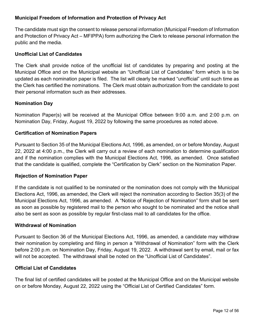#### **Municipal Freedom of Information and Protection of Privacy Act**

The candidate must sign the consent to release personal information (Municipal Freedom of Information and Protection of Privacy Act – MFIPPA) form authorizing the Clerk to release personal information the public and the media.

#### **Unofficial List of Candidates**

The Clerk shall provide notice of the unofficial list of candidates by preparing and posting at the Municipal Office and on the Municipal website an "Unofficial List of Candidates" form which is to be updated as each nomination paper is filed. The list will clearly be marked "unofficial" until such time as the Clerk has certified the nominations. The Clerk must obtain authorization from the candidate to post their personal information such as their addresses.

#### **Nomination Day**

Nomination Paper(s) will be received at the Municipal Office between 9:00 a.m. and 2:00 p.m. on Nomination Day, Friday, August 19, 2022 by following the same procedures as noted above.

#### **Certification of Nomination Papers**

Pursuant to Section 35 of the Municipal Elections Act, 1996, as amended, on or before Monday, August 22, 2022 at 4:00 p.m., the Clerk will carry out a review of each nomination to determine qualification and if the nomination complies with the Municipal Elections Act, 1996, as amended. Once satisfied that the candidate is qualified, complete the "Certification by Clerk" section on the Nomination Paper.

#### **Rejection of Nomination Paper**

If the candidate is not qualified to be nominated or the nomination does not comply with the Municipal Elections Act, 1996, as amended, the Clerk will reject the nomination according to Section 35(3) of the Municipal Elections Act, 1996, as amended. A "Notice of Rejection of Nomination" form shall be sent as soon as possible by registered mail to the person who sought to be nominated and the notice shall also be sent as soon as possible by regular first-class mail to all candidates for the office.

#### **Withdrawal of Nomination**

Pursuant to Section 36 of the Municipal Elections Act, 1996, as amended, a candidate may withdraw their nomination by completing and filing in person a "Withdrawal of Nomination" form with the Clerk before 2:00 p.m. on Nomination Day, Friday, August 19, 2022. A withdrawal sent by email, mail or fax will not be accepted. The withdrawal shall be noted on the "Unofficial List of Candidates".

#### **Official List of Candidates**

The final list of certified candidates will be posted at the Municipal Office and on the Municipal website on or before Monday, August 22, 2022 using the "Official List of Certified Candidates" form.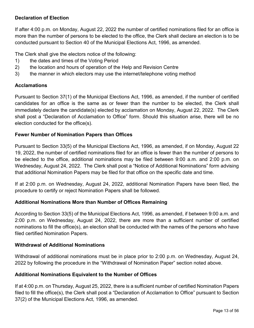#### **Declaration of Election**

If after 4:00 p.m. on Monday, August 22, 2022 the number of certified nominations filed for an office is more than the number of persons to be elected to the office, the Clerk shall declare an election is to be conducted pursuant to Section 40 of the Municipal Elections Act, 1996, as amended.

The Clerk shall give the electors notice of the following:

- 1) the dates and times of the Voting Period
- 2) the location and hours of operation of the Help and Revision Centre
- 3) the manner in which electors may use the internet/telephone voting method

#### **Acclamations**

Pursuant to Section 37(1) of the Municipal Elections Act, 1996, as amended, if the number of certified candidates for an office is the same as or fewer than the number to be elected, the Clerk shall immediately declare the candidate(s) elected by acclamation on Monday, August 22, 2022. The Clerk shall post a "Declaration of Acclamation to Office" form. Should this situation arise, there will be no election conducted for the office(s).

#### **Fewer Number of Nomination Papers than Offices**

Pursuant to Section 33(5) of the Municipal Elections Act, 1996, as amended, if on Monday, August 22 19, 2022, the number of certified nominations filed for an office is fewer than the number of persons to be elected to the office, additional nominations may be filed between 9:00 a.m. and 2:00 p.m. on Wednesday, August 24, 2022. The Clerk shall post a "Notice of Additional Nominations" form advising that additional Nomination Papers may be filed for that office on the specific date and time.

If at 2:00 p.m. on Wednesday, August 24, 2022, additional Nomination Papers have been filed, the procedure to certify or reject Nomination Papers shall be followed.

#### **Additional Nominations More than Number of Offices Remaining**

According to Section 33(5) of the Municipal Elections Act, 1996, as amended, if between 9:00 a.m. and 2:00 p.m. on Wednesday, August 24, 2022, there are more than a sufficient number of certified nominations to fill the office(s), an election shall be conducted with the names of the persons who have filed certified Nomination Papers.

#### **Withdrawal of Additional Nominations**

Withdrawal of additional nominations must be in place prior to 2:00 p.m. on Wednesday, August 24, 2022 by following the procedure in the "Withdrawal of Nomination Paper" section noted above.

#### **Additional Nominations Equivalent to the Number of Offices**

If at 4:00 p.m. on Thursday, August 25, 2022, there is a sufficient number of certified Nomination Papers filed to fill the office(s), the Clerk shall post a "Declaration of Acclamation to Office" pursuant to Section 37(2) of the Municipal Elections Act, 1996, as amended.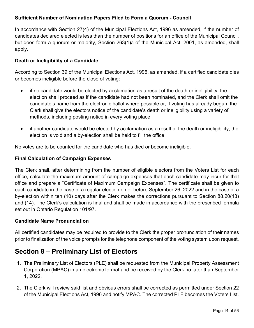#### **Sufficient Number of Nomination Papers Filed to Form a Quorum - Council**

In accordance with Section 27(4) of the Municipal Elections Act, 1996 as amended, if the number of candidates declared elected is less than the number of positions for an office of the Municipal Council, but does form a quorum or majority, Section 263(1)a of the Municipal Act, 2001, as amended, shall apply.

#### **Death or Ineligibility of a Candidate**

According to Section 39 of the Municipal Elections Act, 1996, as amended, if a certified candidate dies or becomes ineligible before the close of voting:

- if no candidate would be elected by acclamation as a result of the death or ineligibility, the election shall proceed as if the candidate had not been nominated, and the Clerk shall omit the candidate's name from the electronic ballot where possible or, if voting has already begun, the Clerk shall give the electors notice of the candidate's death or ineligibility using a variety of methods, including posting notice in every voting place.
- if another candidate would be elected by acclamation as a result of the death or ineligibility, the election is void and a by-election shall be held to fill the office.

No votes are to be counted for the candidate who has died or become ineligible.

#### **Final Calculation of Campaign Expenses**

The Clerk shall, after determining from the number of eligible electors from the Voters List for each office, calculate the maximum amount of campaign expenses that each candidate may incur for that office and prepare a "Certificate of Maximum Campaign Expenses". The certificate shall be given to each candidate in the case of a regular election on or before September 26, 2022 and in the case of a by-election within ten (10) days after the Clerk makes the corrections pursuant to Section 88.20(13) and (14). The Clerk's calculation is final and shall be made in accordance with the prescribed formula set out in Ontario Regulation 101/97.

#### **Candidate Name Pronunciation**

All certified candidates may be required to provide to the Clerk the proper pronunciation of their names prior to finalization of the voice prompts for the telephone component of the voting system upon request.

# <span id="page-13-0"></span>**Section 8 – Preliminary List of Electors**

- 1. The Preliminary List of Electors (PLE) shall be requested from the Municipal Property Assessment Corporation (MPAC) in an electronic format and be received by the Clerk no later than September 1, 2022.
- 2. The Clerk will review said list and obvious errors shall be corrected as permitted under Section 22 of the Municipal Elections Act, 1996 and notify MPAC. The corrected PLE becomes the Voters List.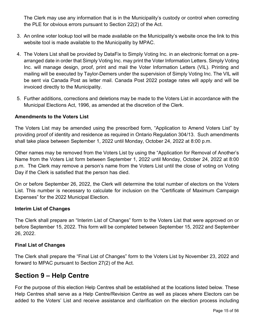The Clerk may use any information that is in the Municipality's custody or control when correcting the PLE for obvious errors pursuant to Section 22(2) of the Act.

- 3. An online voter lookup tool will be made available on the Municipality's website once the link to this website tool is made available to the Municipality by MPAC.
- 4. The Voters List shall be provided by DataFix to Simply Voting Inc. in an electronic format on a prearranged date in order that Simply Voting Inc. may print the Voter Information Letters. Simply Voting Inc. will manage design, proof, print and mail the Voter Information Letters (VIL). Printing and mailing will be executed by Taylor-Demers under the supervision of Simply Voting Inc. The VIL will be sent via Canada Post as letter mail. Canada Post 2022 postage rates will apply and will be invoiced directly to the Municipality.
- 5. Further additions, corrections and deletions may be made to the Voters List in accordance with the Municipal Elections Act, 1996, as amended at the discretion of the Clerk.

#### **Amendments to the Voters List**

The Voters List may be amended using the prescribed form, "Application to Amend Voters List" by providing proof of identity and residence as required in Ontario Regulation 304/13. Such amendments shall take place between September 1, 2022 until Monday, October 24, 2022 at 8:00 p.m.

Other names may be removed from the Voters List by using the "Application for Removal of Another's Name from the Voters List form between September 1, 2022 until Monday, October 24, 2022 at 8:00 p.m. The Clerk may remove a person's name from the Voters List until the close of voting on Voting Day if the Clerk is satisfied that the person has died.

On or before September 26, 2022, the Clerk will determine the total number of electors on the Voters List. This number is necessary to calculate for inclusion on the "Certificate of Maximum Campaign Expenses" for the 2022 Municipal Election.

#### **Interim List of Changes**

The Clerk shall prepare an "Interim List of Changes" form to the Voters List that were approved on or before September 15, 2022. This form will be completed between September 15, 2022 and September 26, 2022.

#### **Final List of Changes**

The Clerk shall prepare the "Final List of Changes" form to the Voters List by November 23, 2022 and forward to MPAC pursuant to Section 27(2) of the Act.

## <span id="page-14-0"></span>**Section 9 – Help Centre**

For the purpose of this election Help Centres shall be established at the locations listed below. These Help Centres shall serve as a Help Centre/Revision Centre as well as places where Electors can be added to the Voters' List and receive assistance and clarification on the election process including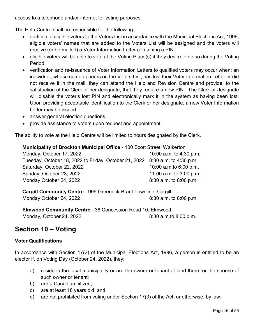access to a telephone and/or internet for voting purposes.

The Help Centre shall be responsible for the following:

- addition of eligible voters to the Voters List in accordance with the Municipal Elections Act, 1996, eligible voters' names that are added to the Voters List will be assigned and the voters will receive (or be mailed) a Voter Information Letter containing a PIN
- eligible voters will be able to vote at the Voting Place(s) if they desire to do so during the Voting Period.
- verification and re-issuance of Voter Information Letters to qualified voters may occur when: an individual, whose name appears on the Voters List, has lost their Voter Information Letter or did not receive it in the mail, they can attend the Help and Revision Centre and provide, to the satisfaction of the Clerk or her designate, that they require a new PIN. The Clerk or designate will disable the voter's lost PIN and electronically mark it in the system as having been lost. Upon providing acceptable identification to the Clerk or her designate, a new Voter Information Letter may be issued.
- answer general election questions.
- provide assistance to voters upon request and appointment.

The ability to vote at the Help Centre will be limited to hours designated by the Clerk.

**Municipality of Brockton Municipal Office** - 100 Scott Street, Walkerton

Monday, October 17, 2022 10:00 a.m. to 4:30 p.m. Tuesday, October 18, 2022 to Friday, October 21, 2022 8:30 a.m. to 4:30 p.m. Saturday, October 22, 2022 10:00 a.m.to 6:00 p.m. Sunday, October 23, 2022 11:00 a.m. to 3:00 p.m. Monday October 24, 2022 8:30 a.m. to 8:00 p.m.

**Cargill Community Centre** - 999 Greenock-Brant Townline, Cargill Monday October 24, 2022 8:30 a.m. to 8:00 p.m.

**Elmwood Community Centre** - 38 Concession Road 10, Elmwood Monday, October 24, 2022 8:30 a.m.to 8:00 p.m.

## <span id="page-15-0"></span>**Section 10 – Voting**

#### **Voter Qualifications**

In accordance with Section 17(2) of the Municipal Elections Act, 1996, a person is entitled to be an elector if, on Voting Day (October 24, 2022), they:

- a) reside in the local municipality or are the owner or tenant of land there, or the spouse of such owner or tenant;
- b) are a Canadian citizen;
- c) are at least 18 years old; and
- d) are not prohibited from voting under Section 17(3) of the Act, or otherwise, by law.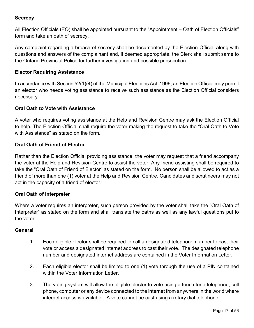#### **Secrecy**

All Election Officials (EO) shall be appointed pursuant to the "Appointment – Oath of Election Officials" form and take an oath of secrecy.

Any complaint regarding a breach of secrecy shall be documented by the Election Official along with questions and answers of the complainant and, if deemed appropriate, the Clerk shall submit same to the Ontario Provincial Police for further investigation and possible prosecution.

#### **Elector Requiring Assistance**

In accordance with Section 52(1)(4) of the Municipal Elections Act, 1996, an Election Official may permit an elector who needs voting assistance to receive such assistance as the Election Official considers necessary.

#### **Oral Oath to Vote with Assistance**

A voter who requires voting assistance at the Help and Revision Centre may ask the Election Official to help. The Election Official shall require the voter making the request to take the "Oral Oath to Vote with Assistance" as stated on the form.

#### **Oral Oath of Friend of Elector**

Rather than the Election Official providing assistance, the voter may request that a friend accompany the voter at the Help and Revision Centre to assist the voter. Any friend assisting shall be required to take the "Oral Oath of Friend of Elector" as stated on the form. No person shall be allowed to act as a friend of more than one (1) voter at the Help and Revision Centre. Candidates and scrutineers may not act in the capacity of a friend of elector.

#### **Oral Oath of Interpreter**

Where a voter requires an interpreter, such person provided by the voter shall take the "Oral Oath of Interpreter" as stated on the form and shall translate the oaths as well as any lawful questions put to the voter.

#### **General**

- 1. Each eligible elector shall be required to call a designated telephone number to cast their vote or access a designated internet address to cast their vote. The designated telephone number and designated internet address are contained in the Voter Information Letter.
- 2. Each eligible elector shall be limited to one (1) vote through the use of a PIN contained within the Voter Information Letter.
- 3. The voting system will allow the eligible elector to vote using a touch tone telephone, cell phone, computer or any device connected to the internet from anywhere in the world where internet access is available. A vote cannot be cast using a rotary dial telephone.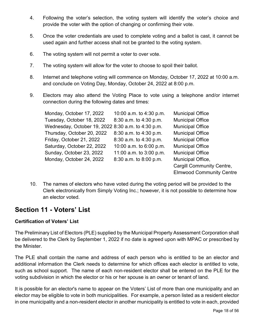- 4. Following the voter's selection, the voting system will identify the voter's choice and provide the voter with the option of changing or confirming their vote.
- 5. Once the voter credentials are used to complete voting and a ballot is cast, it cannot be used again and further access shall not be granted to the voting system.
- 6. The voting system will not permit a voter to over vote.
- 7. The voting system will allow for the voter to choose to spoil their ballot.
- 8. Internet and telephone voting will commence on Monday, October 17, 2022 at 10:00 a.m. and conclude on Voting Day, Monday, October 24, 2022 at 8:00 p.m.
- 9. Electors may also attend the Voting Place to vote using a telephone and/or internet connection during the following dates and times:

| Monday, October 17, 2022                           | 10:00 a.m. to 4:30 p.m. | <b>Municipal Office</b>          |
|----------------------------------------------------|-------------------------|----------------------------------|
| Tuesday, October 18, 2022                          | 8:30 a.m. to 4:30 p.m.  | <b>Municipal Office</b>          |
| Wednesday, October 19, 2022 8:30 a.m. to 4:30 p.m. |                         | <b>Municipal Office</b>          |
| Thursday, October 20, 2022                         | 8:30 a.m. to 4:30 p.m.  | <b>Municipal Office</b>          |
| Friday, October 21, 2022                           | 8:30 a.m. to 4:30 p.m.  | <b>Municipal Office</b>          |
| Saturday, October 22, 2022                         | 10:00 a.m. to 6:00 p.m. | <b>Municipal Office</b>          |
| Sunday, October 23, 2022                           | 11:00 a.m. to 3:00 p.m. | <b>Municipal Office</b>          |
| Monday, October 24, 2022                           | 8:30 a.m. to 8:00 p.m.  | Municipal Office,                |
|                                                    |                         | <b>Cargill Community Centre,</b> |
|                                                    |                         | <b>Elmwood Community Centre</b>  |

10. The names of electors who have voted during the voting period will be provided to the Clerk electronically from Simply Voting Inc.; however, it is not possible to determine how an elector voted.

## <span id="page-17-0"></span>**Section 11 - Voters' List**

#### **Certification of Voters' List**

The Preliminary List of Electors (PLE) supplied by the Municipal Property Assessment Corporation shall be delivered to the Clerk by September 1, 2022 if no date is agreed upon with MPAC or prescribed by the Minister.

The PLE shall contain the name and address of each person who is entitled to be an elector and additional information the Clerk needs to determine for which offices each elector is entitled to vote, such as school support. The name of each non-resident elector shall be entered on the PLE for the voting subdivision in which the elector or his or her spouse is an owner or tenant of land.

It is possible for an elector's name to appear on the Voters' List of more than one municipality and an elector may be eligible to vote in both municipalities. For example, a person listed as a resident elector in one municipality and a non-resident elector in another municipality is entitled to vote in each, provided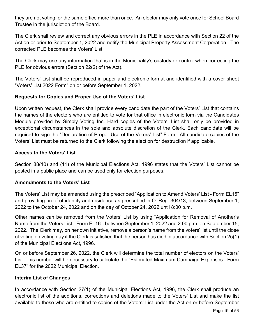they are not voting for the same office more than once. An elector may only vote once for School Board Trustee in the jurisdiction of the Board.

The Clerk shall review and correct any obvious errors in the PLE in accordance with Section 22 of the Act on or prior to September 1, 2022 and notify the Municipal Property Assessment Corporation. The corrected PLE becomes the Voters' List.

The Clerk may use any information that is in the Municipality's custody or control when correcting the PLE for obvious errors (Section 22(2) of the Act).

The Voters' List shall be reproduced in paper and electronic format and identified with a cover sheet "Voters' List 2022 Form" on or before September 1, 2022.

#### **Requests for Copies and Proper Use of the Voters' List**

Upon written request, the Clerk shall provide every candidate the part of the Voters' List that contains the names of the electors who are entitled to vote for that office in electronic form via the Candidates Module provided by Simply Voting Inc. Hard copies of the Voters' List shall only be provided in exceptional circumstances in the sole and absolute discretion of the Clerk. Each candidate will be required to sign the "Declaration of Proper Use of the Voters' List" Form. All candidate copies of the Voters' List must be returned to the Clerk following the election for destruction if applicable.

#### **Access to the Voters' List**

Section 88(10) and (11) of the Municipal Elections Act, 1996 states that the Voters' List cannot be posted in a public place and can be used only for election purposes.

#### **Amendments to the Voters' List**

The Voters' List may be amended using the prescribed "Application to Amend Voters' List - Form EL15" and providing proof of identity and residence as prescribed in O. Reg. 304/13, between September 1, 2022 to the October 24, 2022 and on the day of October 24, 2022 until 8:00 p.m.

Other names can be removed from the Voters' List by using "Application for Removal of Another's Name from the Voters List - Form EL16"**,** between September 1, 2022 and 2:00 p.m. on September 15, 2022. The Clerk may, on her own initiative, remove a person's name from the voters' list until the close of voting on voting day if the Clerk is satisfied that the person has died in accordance with Section 25(1) of the Municipal Elections Act, 1996.

On or before September 26, 2022, the Clerk will determine the total number of electors on the Voters' List. This number will be necessary to calculate the "Estimated Maximum Campaign Expenses - Form EL37" for the 2022 Municipal Election.

#### **Interim List of Changes**

In accordance with Section 27(1) of the Municipal Elections Act, 1996, the Clerk shall produce an electronic list of the additions, corrections and deletions made to the Voters' List and make the list available to those who are entitled to copies of the Voters' List under the Act on or before September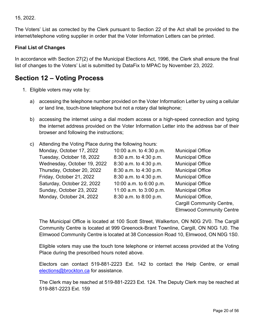15, 2022.

The Voters' List as corrected by the Clerk pursuant to Section 22 of the Act shall be provided to the internet/telephone voting supplier in order that the Voter Information Letters can be printed.

#### **Final List of Changes**

In accordance with Section 27(2) of the Municipal Elections Act, 1996, the Clerk shall ensure the final list of changes to the Voters' List is submitted by DataFix to MPAC by November 23, 2022.

## <span id="page-19-0"></span>**Section 12 – Voting Process**

- 1. Eligible voters may vote by:
	- a) accessing the telephone number provided on the Voter Information Letter by using a cellular or land line, touch-tone telephone but not a rotary dial telephone;
	- b) accessing the internet using a dial modem access or a high-speed connection and typing the internet address provided on the Voter Information Letter into the address bar of their browser and following the instructions;
	- c) Attending the Voting Place during the following hours:

| Monday, October 17, 2022    | 10:00 a.m. to 4:30 p.m. | <b>Municipal Office</b>          |
|-----------------------------|-------------------------|----------------------------------|
| Tuesday, October 18, 2022   | 8:30 a.m. to 4:30 p.m.  | <b>Municipal Office</b>          |
| Wednesday, October 19, 2022 | 8:30 a.m. to 4:30 p.m.  | <b>Municipal Office</b>          |
| Thursday, October 20, 2022  | 8:30 a.m. to 4:30 p.m.  | <b>Municipal Office</b>          |
| Friday, October 21, 2022    | 8:30 a.m. to 4:30 p.m.  | <b>Municipal Office</b>          |
| Saturday, October 22, 2022  | 10:00 a.m. to 6:00 p.m. | <b>Municipal Office</b>          |
| Sunday, October 23, 2022    | 11:00 a.m. to 3:00 p.m. | <b>Municipal Office</b>          |
| Monday, October 24, 2022    | 8:30 a.m. to 8:00 p.m.  | Municipal Office,                |
|                             |                         | <b>Cargill Community Centre,</b> |

Elmwood Community Centre

The Municipal Office is located at 100 Scott Street, Walkerton, ON N0G 2V0. The Cargill Community Centre is located at 999 Greenock-Brant Townline, Cargill, ON N0G 1J0. The Elmwood Community Centre is located at 38 Concession Road 10, Elmwood, ON N0G 1S0.

Eligible voters may use the touch tone telephone or internet access provided at the Voting Place during the prescribed hours noted above.

Electors can contact 519-881-2223 Ext. 142 to contact the Help Centre, or email [elections@brockton.ca](mailto:elections@brockton.ca) for assistance.

The Clerk may be reached at 519-881-2223 Ext. 124. The Deputy Clerk may be reached at 519-881-2223 Ext. 159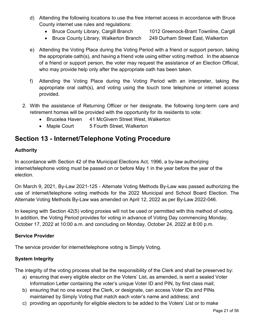- d) Attending the following locations to use the free internet access in accordance with Bruce County internet use rules and regulations:
	- Bruce County Library, Cargill Branch 1012 Greenock-Brant Townline, Cargill
		-
	- Bruce County Library, Walkerton Branch 249 Durham Street East, Walkerton
- e) Attending the Voting Place during the Voting Period with a friend or support person, taking the appropriate oath(s), and having a friend vote using either voting method. In the absence of a friend or support person, the voter may request the assistance of an Election Official, who may provide help only after the appropriate oath has been taken.
- f) Attending the Voting Place during the Voting Period with an interpreter, taking the appropriate oral oath(s), and voting using the touch tone telephone or internet access provided.
- 2. With the assistance of Returning Officer or her designate, the following long-term care and retirement homes will be provided with the opportunity for its residents to vote:
	- Brucelea Haven 41 McGivern Street West, Walkerton
	- Maple Court 5 Fourth Street, Walkerton

## <span id="page-20-0"></span>**Section 13 - Internet/Telephone Voting Procedure**

#### **Authority**

In accordance with Section 42 of the Municipal Elections Act, 1996, a by-law authorizing internet/telephone voting must be passed on or before May 1 in the year before the year of the election.

On March 9, 2021, By-Law 2021-125 - Alternate Voting Methods By-Law was passed authorizing the use of internet/telephone voting methods for the 2022 Municipal and School Board Election. The Alternate Voting Methods By-Law was amended on April 12, 2022 as per By-Law 2022-046.

In keeping with Section 42(5) voting proxies will not be used or permitted with this method of voting. In addition, the Voting Period provides for voting in advance of Voting Day commencing Monday, October 17, 2022 at 10:00 a.m. and concluding on Monday, October 24, 2022 at 8:00 p.m.

#### **Service Provider**

The service provider for internet/telephone voting is Simply Voting.

#### **System Integrity**

The integrity of the voting process shall be the responsibility of the Clerk and shall be preserved by:

- a) ensuring that every eligible elector on the Voters' List, as amended, is sent a sealed Voter Information Letter containing the voter's unique Voter ID and PIN, by first class mail;
- b) ensuring that no one except the Clerk, or designate, can access Voter IDs and PINs maintained by Simply Voting that match each voter's name and address; and
- c) providing an opportunity for eligible electors to be added to the Voters' List or to make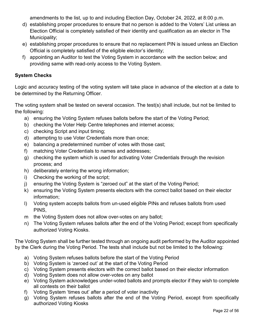amendments to the list, up to and including Election Day, October 24, 2022, at 8:00 p.m.

- d) establishing proper procedures to ensure that no person is added to the Voters' List unless an Election Official is completely satisfied of their identity and qualification as an elector in The Municipality;
- e) establishing proper procedures to ensure that no replacement PIN is issued unless an Election Official is completely satisfied of the eligible elector's identity;
- f) appointing an Auditor to test the Voting System in accordance with the section below; and providing same with read-only access to the Voting System.

#### **System Checks**

Logic and accuracy testing of the voting system will take place in advance of the election at a date to be determined by the Returning Officer.

The voting system shall be tested on several occasion. The test(s) shall include, but not be limited to the following:

- a) ensuring the Voting System refuses ballots before the start of the Voting Period;
- b) checking the Voter Help Centre telephones and internet access;
- c) checking Script and input timing;
- d) attempting to use Voter Credentials more than once;
- e) balancing a predetermined number of votes with those cast;
- f) matching Voter Credentials to names and addresses;
- g) checking the system which is used for activating Voter Credentials through the revision process; and
- h) deliberately entering the wrong information;
- i) Checking the working of the script;
- j) ensuring the Voting System is "zeroed out" at the start of the Voting Period;
- k) ensuring the Voting System presents electors with the correct ballot based on their elector information;
- l) Voting system accepts ballots from un-used eligible PINs and refuses ballots from used PINS,
- m the Voting System does not allow over-votes on any ballot;
- n) The Voting System refuses ballots after the end of the Voting Period; except from specifically authorized Voting Kiosks.

The Voting System shall be further tested through an ongoing audit performed by the Auditor appointed by the Clerk during the Voting Period. The tests shall include but not be limited to the following:

- a) Voting System refuses ballots before the start of the Voting Period
- b) Voting System is 'zeroed out' at the start of the Voting Period
- c) Voting System presents electors with the correct ballot based on their elector information
- d) Voting System does not allow over-votes on any ballot
- e) Voting System acknowledges under-voted ballots and prompts elector if they wish to complete all contests on their ballot
- f) Voting System 'times out' after a period of voter inactivity
- g) Voting System refuses ballots after the end of the Voting Period, except from specifically authorized Voting Kiosks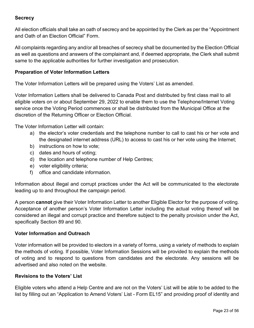#### **Secrecy**

All election officials shall take an oath of secrecy and be appointed by the Clerk as per the "Appointment and Oath of an Election Official" Form.

All complaints regarding any and/or all breaches of secrecy shall be documented by the Election Official as well as questions and answers of the complainant and, if deemed appropriate, the Clerk shall submit same to the applicable authorities for further investigation and prosecution.

#### **Preparation of Voter Information Letters**

The Voter Information Letters will be prepared using the Voters' List as amended.

Voter Information Letters shall be delivered to Canada Post and distributed by first class mail to all eligible voters on or about September 29, 2022 to enable them to use the Telephone/Internet Voting service once the Voting Period commences or shall be distributed from the Municipal Office at the discretion of the Returning Officer or Election Official.

The Voter Information Letter will contain:

- a) the elector's voter credentials and the telephone number to call to cast his or her vote and the designated internet address (URL) to access to cast his or her vote using the Internet;
- b) instructions on how to vote;
- c) dates and hours of voting;
- d) the location and telephone number of Help Centres;
- e) voter eligibility criteria;
- f) office and candidate information.

Information about illegal and corrupt practices under the Act will be communicated to the electorate leading up to and throughout the campaign period.

A person **cannot** give their Voter Information Letter to another Eligible Elector for the purpose of voting. Acceptance of another person's Voter Information Letter including the actual voting thereof will be considered an illegal and corrupt practice and therefore subject to the penalty provision under the Act, specifically Section 89 and 90.

#### **Voter Information and Outreach**

Voter information will be provided to electors in a variety of forms, using a variety of methods to explain the methods of voting. If possible, Voter Information Sessions will be provided to explain the methods of voting and to respond to questions from candidates and the electorate. Any sessions will be advertised and also noted on the website.

#### **Revisions to the Voters' List**

Eligible voters who attend a Help Centre and are not on the Voters' List will be able to be added to the list by filling out an "Application to Amend Voters' List - Form EL15" and providing proof of identity and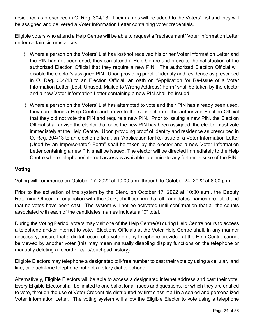residence as prescribed in O. Reg. 304/13. Their names will be added to the Voters' List and they will be assigned and delivered a Voter Information Letter containing voter credentials.

Eligible voters who attend a Help Centre will be able to request a "replacement" Voter Information Letter under certain circumstances:

- i) Where a person on the Voters' List has lost/not received his or her Voter Information Letter and the PIN has not been used, they can attend a Help Centre and prove to the satisfaction of the authorized Election Official that they require a new PIN. The authorized Election Official will disable the elector's assigned PIN. Upon providing proof of identity and residence as prescribed in O. Reg. 304/13 to an Election Official, an oath on "Application for Re-Issue of a Voter Information Letter (Lost, Unused, Mailed to Wrong Address) Form" shall be taken by the elector and a new Voter Information Letter containing a new PIN shall be issued.
- ii) Where a person on the Voters' List has attempted to vote and their PIN has already been used, they can attend a Help Centre and prove to the satisfaction of the authorized Election Official that they did not vote the PIN and require a new PIN. Prior to issuing a new PIN, the Election Official shall advise the elector that once the new PIN has been assigned, the elector must vote immediately at the Help Centre. Upon providing proof of identity and residence as prescribed in O. Reg. 304/13 to an election official, an "Application for Re-Issue of a Voter Information Letter (Used by an Impersonator) Form" shall be taken by the elector and a new Voter Information Letter containing a new PIN shall be issued. The elector will be directed immediately to the Help Centre where telephone/internet access is available to eliminate any further misuse of the PIN.

#### **Voting**

Voting will commence on October 17, 2022 at 10:00 a.m. through to October 24, 2022 at 8:00 p.m.

Prior to the activation of the system by the Clerk, on October 17, 2022 at 10:00 a.m., the Deputy Returning Officer in conjunction with the Clerk, shall confirm that all candidates' names are listed and that no votes have been cast. The system will not be activated until confirmation that all the counts associated with each of the candidates' names indicate a "0" total.

During the Voting Period, voters may visit one of the Help Centre(s) during Help Centre hours to access a telephone and/or internet to vote. Elections Officials at the Voter Help Centre shall, in any manner necessary, ensure that a digital record of a vote on any telephone provided at the Help Centre cannot be viewed by another voter (this may mean manually disabling display functions on the telephone or manually deleting a record of calls/touchpad history).

Eligible Electors may telephone a designated toll-free number to cast their vote by using a cellular, land line, or touch-tone telephone but not a rotary dial telephone.

Alternatively, Eligible Electors will be able to access a designated internet address and cast their vote. Every Eligible Elector shall be limited to one ballot for all races and questions, for which they are entitled to vote, through the use of Voter Credentials distributed by first class mail in a sealed and personalized Voter Information Letter. The voting system will allow the Eligible Elector to vote using a telephone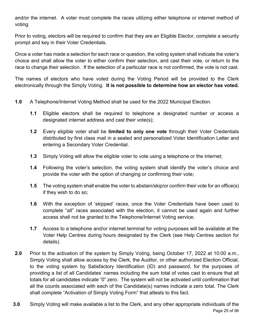and/or the internet. A voter must complete the races utilizing either telephone or internet method of voting.

Prior to voting, electors will be required to confirm that they are an Eligible Elector, complete a security prompt and key in their Voter Credentials.

Once a voter has made a selection for each race or question, the voting system shall indicate the voter's choice and shall allow the voter to either confirm their selection, and cast their vote, or return to the race to change their selection. If the selection of a particular race is not confirmed, the vote is not cast.

The names of electors who have voted during the Voting Period will be provided to the Clerk electronically through the Simply Voting. **It is not possible to determine how an elector has voted.**

- **1.0** A Telephone/Internet Voting Method shall be used for the 2022 Municipal Election.
	- **1.1** Eligible electors shall be required to telephone a designated number or access a designated internet address and cast their vote(s);
	- **1.2** Every eligible voter shall be **limited to only one vote** through their Voter Credentials distributed by first class mail in a sealed and personalized Voter Identification Letter and entering a Secondary Voter Credential.
	- **1.3** Simply Voting will allow the eligible voter to vote using a telephone or the internet;
	- **1.4** Following the voter's selection, the voting system shall identify the voter's choice and provide the voter with the option of changing or confirming their vote;
	- **1.5** The voting system shall enable the voter to abstain/skip/or confirm their vote for an office(s) if they wish to do so;
	- **1.6** With the exception of 'skipped' races, once the Voter Credentials have been used to complete "all" races associated with the election, it cannot be used again and further access shall not be granted to the Telephone/Internet Voting service;
	- **1.7** Access to a telephone and/or internet terminal for voting purposes will be available at the Voter Help Centres during hours designated by the Clerk (see Help Centres section for details).
- **2.0** Prior to the activation of the system by Simply Voting, being October 17, 2022 at 10:00 a.m., Simply Voting shall allow access by the Clerk, the Auditor, or other authorized Election Official, to the voting system by Satisfactory Identification (ID) and password, for the purposes of providing a list of all Candidates' names including the sum total of votes cast to ensure that all totals for all candidates indicate "0" zero. The system will not be activated until confirmation that all the counts associated with each of the Candidate(s) names indicate a zero total. The Clerk shall complete "Activation of Simply Voting Form" that attests to this fact.
- Page 25 of 56 **3.0** Simply Voting will make available a list to the Clerk, and any other appropriate individuals of the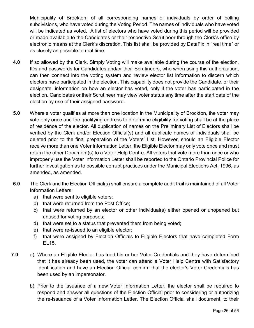Municipality of Brockton, of all corresponding names of individuals by order of polling subdivisions, who have voted during the Voting Period. The names of individuals who have voted will be indicated as voted. A list of electors who have voted during this period will be provided or made available to the Candidates or their respective Scrutineer through the Clerk's office by electronic means at the Clerk's discretion. This list shall be provided by DataFix in "real time" or as closely as possible to real time.

- **4.0** If so allowed by the Clerk, Simply Voting will make available during the course of the election, IDs and passwords for Candidates and/or their Scrutineers, who when using this authorization, can then connect into the voting system and review elector list information to discern which electors have participated in the election. This capability does not provide the Candidate, or their designate, information on how an elector has voted, only if the voter has participated in the election. Candidates or their Scrutineer may view voter status any time after the start date of the election by use of their assigned password.
- **5.0** Where a voter qualifies at more than one location in the Municipality of Brockton, the voter may vote only once and the qualifying address to determine eligibility for voting shall be at the place of residence of the elector. All duplication of names on the Preliminary List of Electors shall be verified by the Clerk and/or Election Official(s) and all duplicate names of individuals shall be deleted prior to the final preparation of the Voters' List. However, should an Eligible Elector receive more than one Voter Information Letter, the Eligible Elector may only vote once and must return the other Document(s) to a Voter Help Centre. All voters that vote more than once or who improperly use the Voter Information Letter shall be reported to the Ontario Provincial Police for further investigation as to possible corrupt practices under the Municipal Elections Act, 1996, as amended, as amended.
- **6.0** The Clerk and the Election Official(s) shall ensure a complete audit trail is maintained of all Voter Information Letters:
	- a) that were sent to eligible voters;
	- b) that were returned from the Post Office;
	- c) that were returned by an elector or other individual(s) either opened or unopened but unused for voting purposes;
	- d) that were set to a status that prevented them from being voted;
	- e) that were re-issued to an eligible elector;
	- f) that were assigned by Election Officials to Eligible Electors that have completed Form EL15.
- **7.0** a) Where an Eligible Elector has tried his or her Voter Credentials and they have determined that it has already been used, the voter can attend a Voter Help Centre with Satisfactory Identification and have an Election Official confirm that the elector's Voter Credentials has been used by an impersonator.
	- b) Prior to the issuance of a new Voter Information Letter, the elector shall be required to respond and answer all questions of the Election Official prior to considering or authorizing the re-issuance of a Voter Information Letter. The Election Official shall document, to their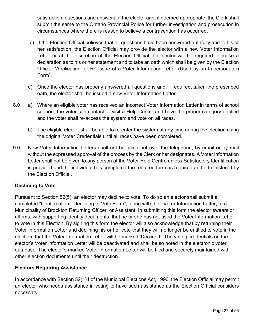satisfaction, questions and answers of the elector and, if deemed appropriate, the Clerk shall submit the same to the Ontario Provincial Police for further investigation and prosecution in circumstances where there is reason to believe a contravention has occurred.

- c) If the Election Official believes that all questions have been answered truthfully and to his or her satisfaction, the Election Official may provide the elector with a new Voter Information Letter or at the discretion of the Election Official the elector will be required to make a declaration as to his or her statement and to take an oath which shall be given by the Election Official "Application for Re-Issue of a Voter Information Letter (Used by an Impersonator) Form".
- d) Once the elector has properly answered all questions and, if required, taken the prescribed oath, the elector shall be issued a new Voter Information Letter.
- **8.0** a) Where an eligible voter has received an incorrect Voter Information Letter in terms of school support, the voter can contact or visit a Help Centre and have the proper category applied and the voter shall re-access the system and vote on all races.
	- b) The eligible elector shall be able to re-enter the system at any time during the election using the original Voter Credentials until all races have been completed.
- **9.0** New Voter Information Letters shall not be given out over the telephone, by email or by mail without the expressed approval of the process by the Clerk or her designates. A Voter Information Letter shall not be given to any person at the Voter Help Centre unless Satisfactory Identification is provided and the individual has completed the required form as required and administered by the Election Official.

#### **Declining to Vote**

Pursuant to Section 52(5), an elector may decline to vote. To do so an elector shall submit a completed "Confirmation - Declining to Vote Form", along with their Voter Information Letter, to a Municipality of Brockton Returning Officer, or Assistant. In submitting this form the elector swears or affirms, with supporting identity documents, that he or she has not used the Voter Information Letter to vote in this Election. By signing this form the elector will also acknowledge that by returning their Voter Information Letter and declining his or her vote that they will no longer be entitled to vote in the election, that the Voter Information Letter will be marked 'Declined'. The voting credentials on the elector's Voter Information Letter will be deactivated and shall be so noted in the electronic voter database. The elector's marked Voter Information Letter will be filed and securely maintained with other election documents until their destruction.

#### **Electors Requiring Assistance**

In accordance with Section 52(1)4 of the Municipal Elections Act, 1996, the Election Official may permit an elector who needs assistance in voting to have such assistance as the Election Official considers necessary.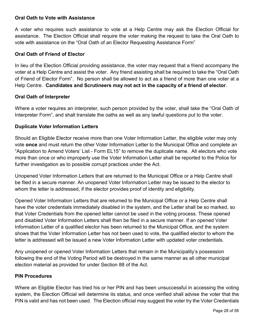#### **Oral Oath to Vote with Assistance**

A voter who requires such assistance to vote at a Help Centre may ask the Election Official for assistance. The Election Official shall require the voter making the request to take the Oral Oath to vote with assistance on the "Oral Oath of an Elector Requesting Assistance Form"

#### **Oral Oath of Friend of Elector**

In lieu of the Election Official providing assistance, the voter may request that a friend accompany the voter at a Help Centre and assist the voter. Any friend assisting shall be required to take the "Oral Oath of Friend of Elector Form". No person shall be allowed to act as a friend of more than one voter at a Help Centre. **Candidates and Scrutineers may not act in the capacity of a friend of elector**.

#### **Oral Oath of Interpreter**

Where a voter requires an interpreter, such person provided by the voter, shall take the "Oral Oath of Interpreter Form", and shall translate the oaths as well as any lawful questions put to the voter.

#### **Duplicate Voter Information Letters**

Should an Eligible Elector receive more than one Voter Information Letter, the eligible voter may only vote **once** and must return the other Voter Information Letter to the Municipal Office and complete an "Application to Amend Voters' List - Form EL15" to remove the duplicate name. All electors who vote more than once or who improperly use the Voter Information Letter shall be reported to the Police for further investigation as to possible corrupt practices under the Act.

Unopened Voter Information Letters that are returned to the Municipal Office or a Help Centre shall be filed in a secure manner. An unopened Voter Information Letter may be issued to the elector to whom the letter is addressed, if the elector provides proof of identity and eligibility.

Opened Voter Information Letters that are returned to the Municipal Office or a Help Centre shall have the voter credentials immediately disabled in the system, and the Letter shall be so marked, so that Voter Credentials from the opened letter cannot be used in the voting process. These opened and disabled Voter Information Letters shall then be filed in a secure manner. If an opened Voter Information Letter of a qualified elector has been returned to the Municipal Office, and the system shows that the Voter Information Letter has not been used to vote, the qualified elector to whom the letter is addressed will be issued a new Voter Information Letter with updated voter credentials.

Any unopened or opened Voter Information Letters that remain in the Municipality's possession following the end of the Voting Period will be destroyed in the same manner as all other municipal election material as provided for under Section 88 of the Act.

#### **PIN Procedures**

Where an Eligible Elector has tried his or her PIN and has been unsuccessful in accessing the voting system, the Election Official will determine its status, and once verified shall advise the voter that the PIN is valid and has not been used. The Election official may suggest the voter try the Voter Credentials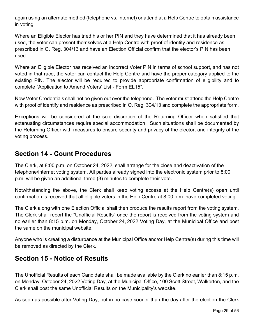again using an alternate method (telephone vs. internet) or attend at a Help Centre to obtain assistance in voting.

Where an Eligible Elector has tried his or her PIN and they have determined that it has already been used, the voter can present themselves at a Help Centre with proof of identity and residence as prescribed in O. Reg. 304/13 and have an Election Official confirm that the elector's PIN has been used.

Where an Eligible Elector has received an incorrect Voter PIN in terms of school support, and has not voted in that race, the voter can contact the Help Centre and have the proper category applied to the existing PIN. The elector will be required to provide appropriate confirmation of eligibility and to complete "Application to Amend Voters' List - Form EL15".

New Voter Credentials shall not be given out over the telephone. The voter must attend the Help Centre with proof of identify and residence as prescribed in O. Reg. 304/13 and complete the appropriate form.

Exceptions will be considered at the sole discretion of the Returning Officer when satisfied that extenuating circumstances require special accommodation. Such situations shall be documented by the Returning Officer with measures to ensure security and privacy of the elector, and integrity of the voting process.

## <span id="page-28-0"></span>**Section 14 - Count Procedures**

The Clerk, at 8:00 p.m. on October 24, 2022, shall arrange for the close and deactivation of the telephone/internet voting system. All parties already signed into the electronic system prior to 8:00 p.m. will be given an additional three (3) minutes to complete their vote.

Notwithstanding the above, the Clerk shall keep voting access at the Help Centre(s) open until confirmation is received that all eligible voters in the Help Centre at 8:00 p.m. have completed voting.

The Clerk along with one Election Official shall then produce the results report from the voting system. The Clerk shall report the "Unofficial Results" once the report is received from the voting system and no earlier than 8:15 p.m. on Monday, October 24, 2022 Voting Day, at the Municipal Office and post the same on the municipal website.

Anyone who is creating a disturbance at the Municipal Office and/or Help Centre(s) during this time will be removed as directed by the Clerk.

# <span id="page-28-1"></span>**Section 15 - Notice of Results**

The Unofficial Results of each Candidate shall be made available by the Clerk no earlier than 8:15 p.m. on Monday, October 24, 2022 Voting Day, at the Municipal Office, 100 Scott Street, Walkerton, and the Clerk shall post the same Unofficial Results on the Municipality's website.

As soon as possible after Voting Day, but in no case sooner than the day after the election the Clerk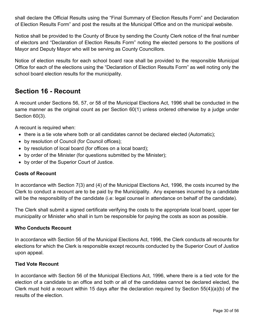shall declare the Official Results using the "Final Summary of Election Results Form" and Declaration of Election Results Form" and post the results at the Municipal Office and on the municipal website.

Notice shall be provided to the County of Bruce by sending the County Clerk notice of the final number of electors and "Declaration of Election Results Form" noting the elected persons to the positions of Mayor and Deputy Mayor who will be serving as County Councillors.

Notice of election results for each school board race shall be provided to the responsible Municipal Office for each of the elections using the "Declaration of Election Results Form" as well noting only the school board election results for the municipality.

## <span id="page-29-0"></span>**Section 16 - Recount**

A recount under Sections 56, 57, or 58 of the Municipal Elections Act, 1996 shall be conducted in the same manner as the original count as per Section 60(1) unless ordered otherwise by a judge under Section 60(3).

A recount is required when:

- there is a tie vote where both or all candidates cannot be declared elected (Automatic);
- by resolution of Council (for Council offices);
- by resolution of local board (for offices on a local board);
- by order of the Minister (for questions submitted by the Minister);
- by order of the Superior Court of Justice.

#### **Costs of Recount**

In accordance with Section 7(3) and (4) of the Municipal Elections Act, 1996, the costs incurred by the Clerk to conduct a recount are to be paid by the Municipality. Any expenses incurred by a candidate will be the responsibility of the candidate (i.e: legal counsel in attendance on behalf of the candidate).

The Clerk shall submit a signed certificate verifying the costs to the appropriate local board, upper tier municipality or Minister who shall in turn be responsible for paying the costs as soon as possible.

#### **Who Conducts Recount**

In accordance with Section 56 of the Municipal Elections Act, 1996, the Clerk conducts all recounts for elections for which the Clerk is responsible except recounts conducted by the Superior Court of Justice upon appeal.

#### **Tied Vote Recount**

In accordance with Section 56 of the Municipal Elections Act, 1996, where there is a tied vote for the election of a candidate to an office and both or all of the candidates cannot be declared elected, the Clerk must hold a recount within 15 days after the declaration required by Section 55(4)(a)(b) of the results of the election.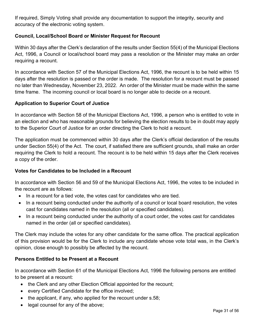If required, Simply Voting shall provide any documentation to support the integrity, security and accuracy of the electronic voting system.

#### **Council, Local/School Board or Minister Request for Recount**

Within 30 days after the Clerk's declaration of the results under Section 55(4) of the Municipal Elections Act, 1996, a Council or local/school board may pass a resolution or the Minister may make an order requiring a recount.

In accordance with Section 57 of the Municipal Elections Act, 1996, the recount is to be held within 15 days after the resolution is passed or the order is made. The resolution for a recount must be passed no later than Wednesday, November 23, 2022. An order of the Minister must be made within the same time frame. The incoming council or local board is no longer able to decide on a recount.

#### **Application to Superior Court of Justice**

In accordance with Section 58 of the Municipal Elections Act, 1996, a person who is entitled to vote in an election and who has reasonable grounds for believing the election results to be in doubt may apply to the Superior Court of Justice for an order directing the Clerk to hold a recount.

The application must be commenced within 30 days after the Clerk's official declaration of the results under Section 55(4) of the Act. The court, if satisfied there are sufficient grounds, shall make an order requiring the Clerk to hold a recount. The recount is to be held within 15 days after the Clerk receives a copy of the order.

#### **Votes for Candidates to be Included in a Recount**

In accordance with Section 56 and 59 of the Municipal Elections Act, 1996, the votes to be included in the recount are as follows:

- In a recount for a tied vote, the votes cast for candidates who are tied.
- In a recount being conducted under the authority of a council or local board resolution, the votes cast for candidates named in the resolution (all or specified candidates).
- In a recount being conducted under the authority of a court order, the votes cast for candidates named in the order (all or specified candidates).

The Clerk may include the votes for any other candidate for the same office. The practical application of this provision would be for the Clerk to include any candidate whose vote total was, in the Clerk's opinion, close enough to possibly be affected by the recount.

#### **Persons Entitled to be Present at a Recount**

In accordance with Section 61 of the Municipal Elections Act, 1996 the following persons are entitled to be present at a recount:

- the Clerk and any other Election Official appointed for the recount;
- every Certified Candidate for the office involved;
- the applicant, if any, who applied for the recount under s.58;
- legal counsel for any of the above;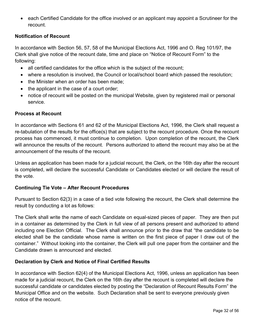• each Certified Candidate for the office involved or an applicant may appoint a Scrutineer for the recount.

#### **Notification of Recount**

In accordance with Section 56, 57, 58 of the Municipal Elections Act, 1996 and O. Reg 101/97, the Clerk shall give notice of the recount date, time and place on "Notice of Recount Form" to the following:

- all certified candidates for the office which is the subject of the recount;
- where a resolution is involved, the Council or local/school board which passed the resolution;
- the Minister when an order has been made:
- the applicant in the case of a court order;
- notice of recount will be posted on the municipal Website, given by registered mail or personal service.

#### **Process at Recount**

In accordance with Sections 61 and 62 of the Municipal Elections Act, 1996, the Clerk shall request a re-tabulation of the results for the office(s) that are subject to the recount procedure. Once the recount process has commenced, it must continue to completion. Upon completion of the recount, the Clerk will announce the results of the recount. Persons authorized to attend the recount may also be at the announcement of the results of the recount.

Unless an application has been made for a judicial recount, the Clerk, on the 16th day after the recount is completed, will declare the successful Candidate or Candidates elected or will declare the result of the vote.

#### **Continuing Tie Vote – After Recount Procedures**

Pursuant to Section 62(3) in a case of a tied vote following the recount, the Clerk shall determine the result by conducting a lot as follows:

The Clerk shall write the name of each Candidate on equal-sized pieces of paper. They are then put in a container as determined by the Clerk in full view of all persons present and authorized to attend including one Election Official. The Clerk shall announce prior to the draw that "the candidate to be elected shall be the candidate whose name is written on the first piece of paper I draw out of the container." Without looking into the container, the Clerk will pull one paper from the container and the Candidate drawn is announced and elected.

#### **Declaration by Clerk and Notice of Final Certified Results**

In accordance with Section 62(4) of the Municipal Elections Act, 1996, unless an application has been made for a judicial recount, the Clerk on the 16th day after the recount is completed will declare the successful candidate or candidates elected by posting the "Declaration of Recount Results Form" the Municipal Office and on the website. Such Declaration shall be sent to everyone previously given notice of the recount.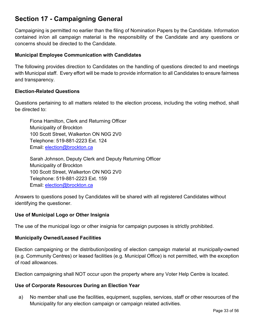# <span id="page-32-0"></span>**Section 17 - Campaigning General**

Campaigning is permitted no earlier than the filing of Nomination Papers by the Candidate. Information contained in/on all campaign material is the responsibility of the Candidate and any questions or concerns should be directed to the Candidate.

#### **Municipal Employee Communication with Candidates**

The following provides direction to Candidates on the handling of questions directed to and meetings with Municipal staff. Every effort will be made to provide information to all Candidates to ensure fairness and transparency.

#### **Election-Related Questions**

Questions pertaining to all matters related to the election process, including the voting method, shall be directed to:

Fiona Hamilton, Clerk and Returning Officer Municipality of Brockton 100 Scott Street, Walkerton ON N0G 2V0 Telephone: 519-881-2223 Ext. 124 Email: [election@brockton.ca](mailto:election@brockton.ca)

Sarah Johnson, Deputy Clerk and Deputy Returning Officer Municipality of Brockton 100 Scott Street, Walkerton ON N0G 2V0 Telephone: 519-881-2223 Ext. 159 Email: [election@brockton.ca](mailto:election@brockton.ca)

Answers to questions posed by Candidates will be shared with all registered Candidates without identifying the questioner.

#### **Use of Municipal Logo or Other Insignia**

The use of the municipal logo or other insignia for campaign purposes is strictly prohibited.

#### **Municipally Owned/Leased Facilities**

Election campaigning or the distribution/posting of election campaign material at municipally-owned (e.g. Community Centres) or leased facilities (e.g. Municipal Office) is not permitted, with the exception of road allowances.

Election campaigning shall NOT occur upon the property where any Voter Help Centre is located.

#### **Use of Corporate Resources During an Election Year**

a) No member shall use the facilities, equipment, supplies, services, staff or other resources of the Municipality for any election campaign or campaign related activities.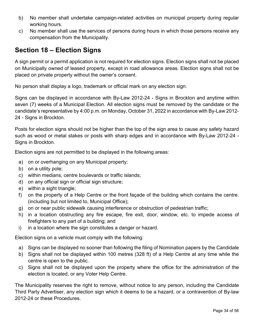- b) No member shall undertake campaign-related activities on municipal property during regular working hours.
- c) No member shall use the services of persons during hours in which those persons receive any compensation from the Municipality.

# <span id="page-33-0"></span>**Section 18 – Election Signs**

A sign permit or a permit application is not required for election signs. Election signs shall not be placed on Municipally owned of leased property, except in road allowance areas. Election signs shall not be placed on private property without the owner's consent.

No person shall display a logo, trademark or official mark on any election sign.

Signs can be displayed in accordance with By-Law 2012-24 - Signs in Brockton and anytime within seven (7) weeks of a Municipal Election. All election signs must be removed by the candidate or the candidate's representative by 4:00 p.m. on Monday, October 31, 2022 in accordance with By-Law 2012- 24 - Signs in Brockton.

Posts for election signs should not be higher than the top of the sign area to cause any safety hazard such as wood or metal stakes or posts with sharp edges and in accordance with By-Law 2012-24 - Signs in Brockton.

Election signs are not permitted to be displayed in the following areas:

- a) on or overhanging on any Municipal property;
- b) on a utility pole;
- c) within medians, centre boulevards or traffic islands;
- d) on any official sign or official sign structure;
- e) within a sight triangle;
- f) on the property of a Help Centre or the front façade of the building which contains the centre. (including but not limited to, Municipal Office);
- g) on or near public sidewalk causing interference or obstruction of pedestrian traffic;
- h) in a location obstructing any fire escape, fire exit, door, window, etc. to impede access of firefighters to any part of a building; and
- i) in a location where the sign constitutes a danger or hazard.

Election signs on a vehicle must comply with the following:

- a) Signs can be displayed no sooner than following the filing of Nomination papers by the Candidate
- b) Signs shall not be displayed within 100 metres (328 ft) of a Help Centre at any time while the centre is open to the public.
- c) Signs shall not be displayed upon the property where the office for the administration of the election is located, or any Voter Help Centre.

The Municipality reserves the right to remove, without notice to any person, including the Candidate Third Party Advertiser, any election sign which it deems to be a hazard, or a contravention of By-law 2012-24 or these Procedures.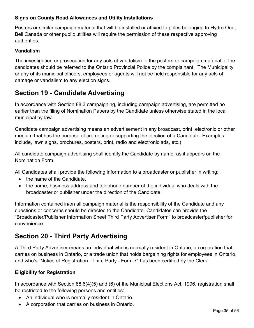#### **Signs on County Road Allowances and Utility Installations**

Posters or similar campaign material that will be installed or affixed to poles belonging to Hydro One, Bell Canada or other public utilities will require the permission of these respective approving authorities.

#### **Vandalism**

The investigation or prosecution for any acts of vandalism to the posters or campaign material of the candidates should be referred to the Ontario Provincial Police by the complainant. The Municipality or any of its municipal officers, employees or agents will not be held responsible for any acts of damage or vandalism to any election signs.

## <span id="page-34-0"></span>**Section 19 - Candidate Advertising**

In accordance with Section 88.3 campaigning, including campaign advertising, are permitted no earlier than the filing of Nomination Papers by the Candidate unless otherwise stated in the local municipal by-law.

Candidate campaign advertising means an advertisement in any broadcast, print, electronic or other medium that has the purpose of promoting or supporting the election of a Candidate. Examples include, lawn signs, brochures, posters, print, radio and electronic ads, etc.)

All candidate campaign advertising shall identify the Candidate by name, as it appears on the Nomination Form.

All Candidates shall provide the following information to a broadcaster or publisher in writing:

- the name of the Candidate.
- the name, business address and telephone number of the individual who deals with the broadcaster or publisher under the direction of the Candidate.

Information contained in/on all campaign material is the responsibility of the Candidate and any questions or concerns should be directed to the Candidate. Candidates can provide the "Broadcaster/Publisher Information Sheet Third Party Advertiser Form" to broadcaster/publisher for convenience.

# <span id="page-34-1"></span>**Section 20 - Third Party Advertising**

A Third Party Advertiser means an individual who is normally resident in Ontario, a corporation that carries on business in Ontario, or a trade union that holds bargaining rights for employees in Ontario, and who's "Notice of Registration - Third Party - Form 7" has been certified by the Clerk.

#### **Eligibility for Registration**

In accordance with Section 88.6(4)(5) and (6) of the Municipal Elections Act, 1996, registration shall be restricted to the following persons and entities:

- An individual who is normally resident in Ontario.
- A corporation that carries on business in Ontario.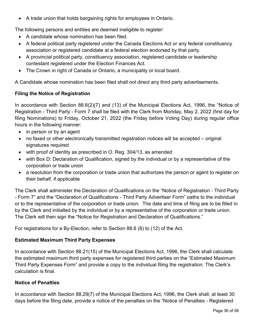• A trade union that holds bargaining rights for employees in Ontario.

The following persons and entities are deemed ineligible to register:

- A candidate whose nomination has been filed.
- A federal political party registered under the Canada Elections Act or any federal constituency association or registered candidate at a federal election endorsed by that party.
- A provincial political party, constituency association, registered candidate or leadership contestant registered under the Election Finances Act.
- The Crown in right of Canada or Ontario, a municipality or local board.

A Candidate whose nomination has been filed shall not direct any third party advertisements.

#### **Filing the Notice of Registration**

In accordance with Section 88.6(2)(7) and (13) of the Municipal Elections Act, 1996, the "Notice of Registration - Third Party - Form 7 shall be filed with the Clerk from Monday, May 2, 2022 (first day for filing Nominations) to Friday, October 21, 2022 (the Friday before Voting Day) during regular office hours in the following manner:

- in person or by an agent
- no faxed or other electronically transmitted registration notices will be accepted original signatures required
- with proof of identity as prescribed in O. Reg. 304/13, as amended
- with Box D: Declaration of Qualification, signed by the individual or by a representative of the corporation or trade union
- a resolution from the corporation or trade union that authorizes the person or agent to register on their behalf, if applicable

The Clerk shall administer the Declaration of Qualifications on the "Notice of Registration - Third Party - Form 7" and the "Declaration of Qualifications - Third Party Advertiser Form" oaths to the individual or to the representative of the corporation or trade union. The date and time of filing are to be filled in by the Clerk and initialled by the individual or by a representative of the corporation or trade union. The Clerk will then sign the "Notice for Registration and Declaration of Qualifications."

For registrations for a By-Election, refer to Section 88.6 (8) to (12) of the Act.

#### **Estimated Maximum Third Party Expenses**

In accordance with Section 88.21(15) of the Municipal Elections Act, 1996, the Clerk shall calculate the estimated maximum third party expenses for registered third parties on the "Estimated Maximum Third Party Expenses Form" and provide a copy to the individual filing the registration. The Clerk's calculation is final.

#### **Notice of Penalties**

In accordance with Section 88.29(7) of the Municipal Elections Act, 1996, the Clerk shall, at least 30 days before the filing date, provide a notice of the penalties on the "Notice of Penalties - Registered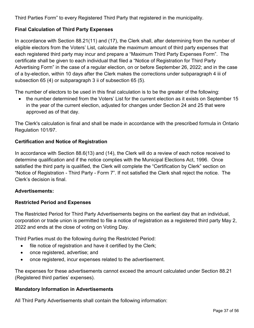Third Parties Form" to every Registered Third Party that registered in the municipality.

#### **Final Calculation of Third Party Expenses**

In accordance with Section 88.21(11) and (17), the Clerk shall, after determining from the number of eligible electors from the Voters' List, calculate the maximum amount of third party expenses that each registered third party may incur and prepare a "Maximum Third Party Expenses Form". The certificate shall be given to each individual that filed a "Notice of Registration for Third Party Advertising Form" in the case of a regular election, on or before September 26, 2022; and in the case of a by-election, within 10 days after the Clerk makes the corrections under subparagraph 4 iii of subsection 65 (4) or subparagraph 3 ii of subsection 65 (5).

The number of electors to be used in this final calculation is to be the greater of the following:

• the number determined from the Voters' List for the current election as it exists on September 15 in the year of the current election, adjusted for changes under Section 24 and 25 that were approved as of that day.

The Clerk's calculation is final and shall be made in accordance with the prescribed formula in Ontario Regulation 101/97.

#### **Certification and Notice of Registration**

In accordance with Section 88.6(13) and (14), the Clerk will do a review of each notice received to determine qualification and if the notice complies with the Municipal Elections Act, 1996. Once satisfied the third party is qualified, the Clerk will complete the "Certification by Clerk" section on "Notice of Registration - Third Party - Form 7". If not satisfied the Clerk shall reject the notice. The Clerk's decision is final.

#### **Advertisements:**

#### **Restricted Period and Expenses**

The Restricted Period for Third Party Advertisements begins on the earliest day that an individual, corporation or trade union is permitted to file a notice of registration as a registered third party May 2, 2022 and ends at the close of voting on Voting Day.

Third Parties must do the following during the Restricted Period:

- file notice of registration and have it certified by the Clerk;
- once registered, advertise; and
- once registered, incur expenses related to the advertisement.

The expenses for these advertisements cannot exceed the amount calculated under Section 88.21 (Registered third parties' expenses).

#### **Mandatory Information in Advertisements**

All Third Party Advertisements shall contain the following information: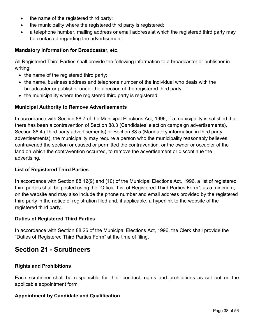- the name of the registered third party;
- the municipality where the registered third party is registered;
- a telephone number, mailing address or email address at which the registered third party may be contacted regarding the advertisement.

#### **Mandatory Information for Broadcaster, etc.**

All Registered Third Parties shall provide the following information to a broadcaster or publisher in writing:

- the name of the registered third party;
- the name, business address and telephone number of the individual who deals with the broadcaster or publisher under the direction of the registered third party;
- the municipality where the registered third party is registered.

#### **Municipal Authority to Remove Advertisements**

In accordance with Section 88.7 of the Municipal Elections Act, 1996, if a municipality is satisfied that there has been a contravention of Section 88.3 (Candidates' election campaign advertisements), Section 88.4 (Third party advertisements) or Section 88.5 (Mandatory information in third party advertisements), the municipality may require a person who the municipality reasonably believes contravened the section or caused or permitted the contravention, or the owner or occupier of the land on which the contravention occurred, to remove the advertisement or discontinue the advertising.

#### **List of Registered Third Parties**

In accordance with Section 88.12(9) and (10) of the Municipal Elections Act, 1996, a list of registered third parties shall be posted using the "Official List of Registered Third Parties Form", as a minimum, on the website and may also include the phone number and email address provided by the registered third party in the notice of registration filed and, if applicable, a hyperlink to the website of the registered third party.

#### **Duties of Registered Third Parties**

In accordance with Section 88.26 of the Municipal Elections Act, 1996, the Clerk shall provide the "Duties of Registered Third Parties Form" at the time of filing.

## <span id="page-37-0"></span>**Section 21 - Scrutineers**

#### **Rights and Prohibitions**

Each scrutineer shall be responsible for their conduct, rights and prohibitions as set out on the applicable appointment form.

#### **Appointment by Candidate and Qualification**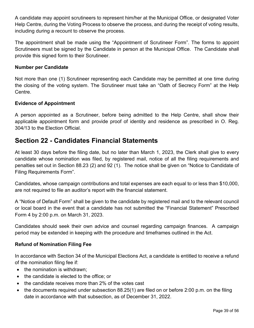A candidate may appoint scrutineers to represent him/her at the Municipal Office, or designated Voter Help Centre, during the Voting Process to observe the process, and during the receipt of voting results, including during a recount to observe the process.

The appointment shall be made using the "Appointment of Scrutineer Form". The forms to appoint Scrutineers must be signed by the Candidate in person at the Municipal Office. The Candidate shall provide this signed form to their Scrutineer.

#### **Number per Candidate**

Not more than one (1) Scrutineer representing each Candidate may be permitted at one time during the closing of the voting system. The Scrutineer must take an "Oath of Secrecy Form" at the Help Centre.

#### **Evidence of Appointment**

A person appointed as a Scrutineer, before being admitted to the Help Centre, shall show their applicable appointment form and provide proof of identity and residence as prescribed in O. Reg. 304/13 to the Election Official.

## <span id="page-38-0"></span>**Section 22 - Candidates Financial Statements**

At least 30 days before the filing date, but no later than March 1, 2023, the Clerk shall give to every candidate whose nomination was filed, by registered mail, notice of all the filing requirements and penalties set out in Section 88.23 (2) and 92 (1). The notice shall be given on "Notice to Candidate of Filing Requirements Form".

Candidates, whose campaign contributions and total expenses are each equal to or less than \$10,000, are not required to file an auditor's report with the financial statement.

A "Notice of Default Form" shall be given to the candidate by registered mail and to the relevant council or local board in the event that a candidate has not submitted the "Financial Statement" Prescribed Form 4 by 2:00 p.m. on March 31, 2023.

Candidates should seek their own advice and counsel regarding campaign finances. A campaign period may be extended in keeping with the procedure and timeframes outlined in the Act.

#### **Refund of Nomination Filing Fee**

In accordance with Section 34 of the Municipal Elections Act, a candidate is entitled to receive a refund of the nomination filing fee if:

- the nomination is withdrawn;
- the candidate is elected to the office; or
- the candidate receives more than 2% of the votes cast
- the documents required under subsection 88.25(1) are filed on or before 2:00 p.m. on the filing date in accordance with that subsection, as of December 31, 2022.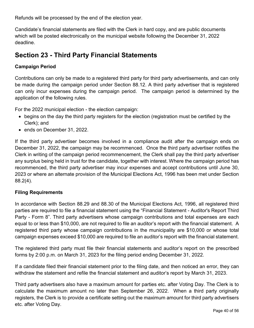Refunds will be processed by the end of the election year.

Candidate's financial statements are filed with the Clerk in hard copy, and are public documents which will be posted electronically on the municipal website following the December 31, 2022 deadline.

## <span id="page-39-0"></span>**Section 23 - Third Party Financial Statements**

#### **Campaign Period**

Contributions can only be made to a registered third party for third party advertisements, and can only be made during the campaign period under Section 88.12. A third party advertiser that is registered can only incur expenses during the campaign period. The campaign period is determined by the application of the following rules.

For the 2022 municipal election - the election campaign:

- begins on the day the third party registers for the election (registration must be certified by the Clerk); and
- ends on December 31, 2022.

If the third party advertiser becomes involved in a compliance audit after the campaign ends on December 31, 2022, the campaign may be recommenced. Once the third party advertiser notifies the Clerk in writing of the campaign period recommencement, the Clerk shall pay the third party advertiser any surplus being held in trust for the candidate, together with interest. Where the campaign period has recommenced, the third party advertiser may incur expenses and accept contributions until June 30, 2023 or where an alternate provision of the Municipal Elections Act, 1996 has been met under Section 88.2(4).

#### **Filing Requirements**

In accordance with Section 88.29 and 88.30 of the Municipal Elections Act, 1996, all registered third parties are required to file a financial statement using the "Financial Statement - Auditor's Report Third Party - Form 8". Third party advertisers whose campaign contributions and total expenses are each equal to or less than \$10,000, are not required to file an auditor's report with the financial statement. A registered third party whose campaign contributions in the municipality are \$10,000 or whose total campaign expenses exceed \$10,000 are required to file an auditor's report with the financial statement.

The registered third party must file their financial statements and auditor's report on the prescribed forms by 2:00 p.m. on March 31, 2023 for the filing period ending December 31, 2022.

If a candidate filed their financial statement prior to the filing date, and then noticed an error, they can withdraw the statement and refile the financial statement and auditor's report by March 31, 2023.

Third party advertisers also have a maximum amount for parties etc. after Voting Day. The Clerk is to calculate the maximum amount no later than September 26, 2022. When a third party originally registers, the Clerk is to provide a certificate setting out the maximum amount for third party advertisers etc. after Voting Day.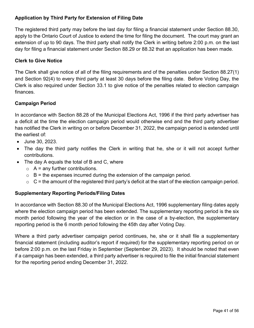#### **Application by Third Party for Extension of Filing Date**

The registered third party may before the last day for filing a financial statement under Section 88.30, apply to the Ontario Court of Justice to extend the time for filing the document. The court may grant an extension of up to 90 days. The third party shall notify the Clerk in writing before 2:00 p.m. on the last day for filing a financial statement under Section 88.29 or 88.32 that an application has been made.

#### **Clerk to Give Notice**

The Clerk shall give notice of all of the filing requirements and of the penalties under Section 88.27(1) and Section 92(4) to every third party at least 30 days before the filing date. Before Voting Day, the Clerk is also required under Section 33.1 to give notice of the penalties related to election campaign finances.

#### **Campaign Period**

In accordance with Section 88.28 of the Municipal Elections Act, 1996 if the third party advertiser has a deficit at the time the election campaign period would otherwise end and the third party advertiser has notified the Clerk in writing on or before December 31, 2022, the campaign period is extended until the earliest of:

- June 30, 2023.
- The day the third party notifies the Clerk in writing that he, she or it will not accept further contributions.
- The day A equals the total of B and C, where
	- $\circ$  A = any further contributions.
	- $\circ$  B = the expenses incurred during the extension of the campaign period.
	- $\circ$  C = the amount of the registered third party's deficit at the start of the election campaign period.

#### **Supplementary Reporting Periods/Filing Dates**

In accordance with Section 88.30 of the Municipal Elections Act, 1996 supplementary filing dates apply where the election campaign period has been extended. The supplementary reporting period is the six month period following the year of the election or in the case of a by-election, the supplementary reporting period is the 6 month period following the 45th day after Voting Day.

Where a third party advertiser campaign period continues, he, she or it shall file a supplementary financial statement (including auditor's report if required) for the supplementary reporting period on or before 2:00 p.m. on the last Friday in September (September 29, 2023). It should be noted that even if a campaign has been extended, a third party advertiser is required to file the initial financial statement for the reporting period ending December 31, 2022.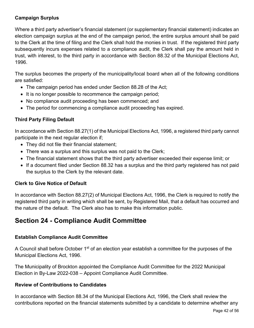#### **Campaign Surplus**

Where a third party advertiser's financial statement (or supplementary financial statement) indicates an election campaign surplus at the end of the campaign period, the entire surplus amount shall be paid to the Clerk at the time of filing and the Clerk shall hold the monies in trust. If the registered third party subsequently incurs expenses related to a compliance audit, the Clerk shall pay the amount held in trust, with interest, to the third party in accordance with Section 88.32 of the Municipal Elections Act, 1996.

The surplus becomes the property of the municipality/local board when all of the following conditions are satisfied:

- The campaign period has ended under Section 88.28 of the Act;
- It is no longer possible to recommence the campaign period;
- No compliance audit proceeding has been commenced; and
- The period for commencing a compliance audit proceeding has expired.

#### **Third Party Filing Default**

In accordance with Section 88.27(1) of the Municipal Elections Act, 1996, a registered third party cannot participate in the next regular election if;

- They did not file their financial statement;
- There was a surplus and this surplus was not paid to the Clerk;
- The financial statement shows that the third party advertiser exceeded their expense limit; or
- If a document filed under Section 88.32 has a surplus and the third party registered has not paid the surplus to the Clerk by the relevant date.

#### **Clerk to Give Notice of Default**

In accordance with Section 88.27(2) of Municipal Elections Act, 1996, the Clerk is required to notify the registered third party in writing which shall be sent, by Registered Mail, that a default has occurred and the nature of the default. The Clerk also has to make this information public.

## <span id="page-41-0"></span>**Section 24 - Compliance Audit Committee**

#### **Establish Compliance Audit Committee**

A Council shall before October 1<sup>st</sup> of an election year establish a committee for the purposes of the Municipal Elections Act, 1996.

The Municipality of Brockton appointed the Compliance Audit Committee for the 2022 Municipal Election in By-Law 2022-038 – Appoint Compliance Audit Committee.

#### **Review of Contributions to Candidates**

In accordance with Section 88.34 of the Municipal Elections Act, 1996, the Clerk shall review the contributions reported on the financial statements submitted by a candidate to determine whether any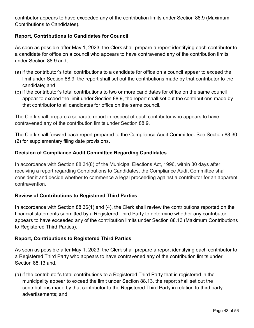contributor appears to have exceeded any of the contribution limits under Section 88.9 (Maximum Contributions to Candidates).

#### **Report, Contributions to Candidates for Council**

As soon as possible after May 1, 2023, the Clerk shall prepare a report identifying each contributor to a candidate for office on a council who appears to have contravened any of the contribution limits under Section 88.9 and,

- (a) if the contributor's total contributions to a candidate for office on a council appear to exceed the limit under Section 88.9, the report shall set out the contributions made by that contributor to the candidate; and
- (b) if the contributor's total contributions to two or more candidates for office on the same council appear to exceed the limit under Section 88.9, the report shall set out the contributions made by that contributor to all candidates for office on the same council.

The Clerk shall prepare a separate report in respect of each contributor who appears to have contravened any of the contribution limits under Section 88.9.

The Clerk shall forward each report prepared to the Compliance Audit Committee. See Section 88.30 (2) for supplementary filing date provisions.

#### **Decision of Compliance Audit Committee Regarding Candidates**

In accordance with Section 88.34(8) of the Municipal Elections Act, 1996, within 30 days after receiving a report regarding Contributions to Candidates, the Compliance Audit Committee shall consider it and decide whether to commence a legal proceeding against a contributor for an apparent contravention.

#### **Review of Contributions to Registered Third Parties**

In accordance with Section 88.36(1) and (4), the Clerk shall review the contributions reported on the financial statements submitted by a Registered Third Party to determine whether any contributor appears to have exceeded any of the contribution limits under Section 88.13 (Maximum Contributions to Registered Third Parties).

#### **Report, Contributions to Registered Third Parties**

As soon as possible after May 1, 2023, the Clerk shall prepare a report identifying each contributor to a Registered Third Party who appears to have contravened any of the contribution limits under Section 88.13 and,

(a) if the contributor's total contributions to a Registered Third Party that is registered in the municipality appear to exceed the limit under Section 88.13, the report shall set out the contributions made by that contributor to the Registered Third Party in relation to third party advertisements; and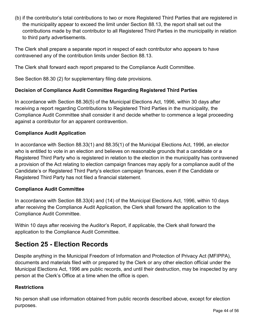(b) if the contributor's total contributions to two or more Registered Third Parties that are registered in the municipality appear to exceed the limit under Section 88.13, the report shall set out the contributions made by that contributor to all Registered Third Parties in the municipality in relation to third party advertisements.

The Clerk shall prepare a separate report in respect of each contributor who appears to have contravened any of the contribution limits under Section 88.13.

The Clerk shall forward each report prepared to the Compliance Audit Committee.

See Section 88.30 (2) for supplementary filing date provisions.

#### **Decision of Compliance Audit Committee Regarding Registered Third Parties**

In accordance with Section 88.36(5) of the Municipal Elections Act, 1996, within 30 days after receiving a report regarding Contributions to Registered Third Parties in the municipality, the Compliance Audit Committee shall consider it and decide whether to commence a legal proceeding against a contributor for an apparent contravention.

#### **Compliance Audit Application**

In accordance with Section 88.33(1) and 88.35(1) of the Municipal Elections Act, 1996, an elector who is entitled to vote in an election and believes on reasonable grounds that a candidate or a Registered Third Party who is registered in relation to the election in the municipality has contravened a provision of the Act relating to election campaign finances may apply for a compliance audit of the Candidate's or Registered Third Party's election campaign finances, even if the Candidate or Registered Third Party has not filed a financial statement.

#### **Compliance Audit Committee**

In accordance with Section 88.33(4) and (14) of the Municipal Elections Act, 1996, within 10 days after receiving the Compliance Audit Application, the Clerk shall forward the application to the Compliance Audit Committee.

Within 10 days after receiving the Auditor's Report, if applicable, the Clerk shall forward the application to the Compliance Audit Committee.

## <span id="page-43-0"></span>**Section 25 - Election Records**

Despite anything in the Municipal Freedom of Information and Protection of Privacy Act (MFIPPA), documents and materials filed with or prepared by the Clerk or any other election official under the Municipal Elections Act, 1996 are public records, and until their destruction, may be inspected by any person at the Clerk's Office at a time when the office is open.

#### **Restrictions**

No person shall use information obtained from public records described above, except for election purposes.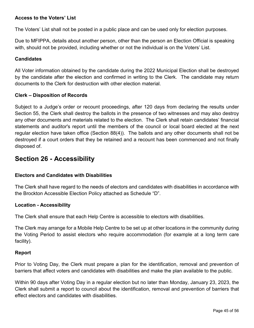#### **Access to the Voters' List**

The Voters' List shall not be posted in a public place and can be used only for election purposes.

Due to MFIPPA, details about another person, other than the person an Election Official is speaking with, should not be provided, including whether or not the individual is on the Voters' List.

#### **Candidates**

All Voter information obtained by the candidate during the 2022 Municipal Election shall be destroyed by the candidate after the election and confirmed in writing to the Clerk. The candidate may return documents to the Clerk for destruction with other election material.

#### **Clerk – Disposition of Records**

Subject to a Judge's order or recount proceedings, after 120 days from declaring the results under Section 55, the Clerk shall destroy the ballots in the presence of two witnesses and may also destroy any other documents and materials related to the election. The Clerk shall retain candidates' financial statements and auditor's report until the members of the council or local board elected at the next regular election have taken office (Section 88(4)). The ballots and any other documents shall not be destroyed if a court orders that they be retained and a recount has been commenced and not finally disposed of.

## <span id="page-44-0"></span>**Section 26 - Accessibility**

#### **Electors and Candidates with Disabilities**

The Clerk shall have regard to the needs of electors and candidates with disabilities in accordance with the Brockton Accessible Election Policy attached as Schedule "D".

#### **Location - Accessibility**

The Clerk shall ensure that each Help Centre is accessible to electors with disabilities.

The Clerk may arrange for a Mobile Help Centre to be set up at other locations in the community during the Voting Period to assist electors who require accommodation (for example at a long term care facility).

#### **Report**

Prior to Voting Day, the Clerk must prepare a plan for the identification, removal and prevention of barriers that affect voters and candidates with disabilities and make the plan available to the public.

Within 90 days after Voting Day in a regular election but no later than Monday, January 23, 2023, the Clerk shall submit a report to council about the identification, removal and prevention of barriers that effect electors and candidates with disabilities.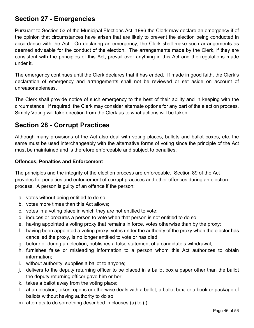# <span id="page-45-0"></span>**Section 27 - Emergencies**

Pursuant to Section 53 of the Municipal Elections Act, 1996 the Clerk may declare an emergency if of the opinion that circumstances have arisen that are likely to prevent the election being conducted in accordance with the Act. On declaring an emergency, the Clerk shall make such arrangements as deemed advisable for the conduct of the election. The arrangements made by the Clerk, if they are consistent with the principles of this Act, prevail over anything in this Act and the regulations made under it.

The emergency continues until the Clerk declares that it has ended. If made in good faith, the Clerk's declaration of emergency and arrangements shall not be reviewed or set aside on account of unreasonableness.

The Clerk shall provide notice of such emergency to the best of their ability and in keeping with the circumstance. If required, the Clerk may consider alternate options for any part of the election process. Simply Voting will take direction from the Clerk as to what actions will be taken.

# <span id="page-45-1"></span>**Section 28 - Corrupt Practices**

Although many provisions of the Act also deal with voting places, ballots and ballot boxes, etc. the same must be used interchangeably with the alternative forms of voting since the principle of the Act must be maintained and is therefore enforceable and subject to penalties.

#### **Offences, Penalties and Enforcement**

The principles and the integrity of the election process are enforceable. Section 89 of the Act provides for penalties and enforcement of corrupt practices and other offences during an election process. A person is guilty of an offence if the person:

- a. votes without being entitled to do so;
- b. votes more times than this Act allows;
- c. votes in a voting place in which they are not entitled to vote;
- d. induces or procures a person to vote when that person is not entitled to do so;
- e. having appointed a voting proxy that remains in force, votes otherwise than by the proxy;
- f. having been appointed a voting proxy, votes under the authority of the proxy when the elector has cancelled the proxy, is no longer entitled to vote or has died;
- g. before or during an election, publishes a false statement of a candidate's withdrawal;
- h. furnishes false or misleading information to a person whom this Act authorizes to obtain information;
- i. without authority, supplies a ballot to anyone;
- j. delivers to the deputy returning officer to be placed in a ballot box a paper other than the ballot the deputy returning officer gave him or her;
- k. takes a ballot away from the voting place;
- l. at an election, takes, opens or otherwise deals with a ballot, a ballot box, or a book or package of ballots without having authority to do so;
- m. attempts to do something described in clauses (a) to (l).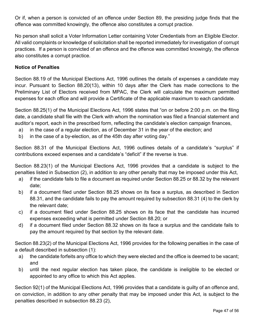Or if, when a person is convicted of an offence under Section 89, the presiding judge finds that the offence was committed knowingly, the offence also constitutes a corrupt practice.

No person shall solicit a Voter Information Letter containing Voter Credentials from an Eligible Elector. All valid complaints or knowledge of solicitation shall be reported immediately for investigation of corrupt practices. If a person is convicted of an offence and the offence was committed knowingly, the offence also constitutes a corrupt practice.

#### **Notice of Penalties**

Section 88.19 of the Municipal Elections Act, 1996 outlines the details of expenses a candidate may incur. Pursuant to Section 88.20(13), within 10 days after the Clerk has made corrections to the Preliminary List of Electors received from MPAC, the Clerk will calculate the maximum permitted expenses for each office and will provide a Certificate of the applicable maximum to each candidate.

Section 88.25(1) of the Municipal Elections Act, 1996 states that "on or before 2:00 p.m. on the filing date, a candidate shall file with the Clerk with whom the nomination was filed a financial statement and auditor's report, each in the prescribed form, reflecting the candidate's election campaign finances,

- a) in the case of a regular election, as of December 31 in the year of the election; and
- b) in the case of a by-election, as of the 45th day after voting day."

Section 88.31 of the Municipal Elections Act, 1996 outlines details of a candidate's "surplus" if contributions exceed expenses and a candidate's "deficit" if the reverse is true.

Section 88.23(1) of the Municipal Elections Act, 1996 provides that a candidate is subject to the penalties listed in Subsection (2), in addition to any other penalty that may be imposed under this Act,

- a) if the candidate fails to file a document as required under Section 88.25 or 88.32 by the relevant date;
- b) if a document filed under Section 88.25 shows on its face a surplus, as described in Section 88.31, and the candidate fails to pay the amount required by subsection 88.31 (4) to the clerk by the relevant date;
- c) if a document filed under Section 88.25 shows on its face that the candidate has incurred expenses exceeding what is permitted under Section 88.20; or
- d) if a document filed under Section 88.32 shows on its face a surplus and the candidate fails to pay the amount required by that section by the relevant date.

Section 88.23(2) of the Municipal Elections Act, 1996 provides for the following penalties in the case of a default described in subsection (1):

- a) the candidate forfeits any office to which they were elected and the office is deemed to be vacant; and
- b) until the next regular election has taken place, the candidate is ineligible to be elected or appointed to any office to which this Act applies.

Section 92(1) of the Municipal Elections Act, 1996 provides that a candidate is guilty of an offence and, on conviction, in addition to any other penalty that may be imposed under this Act, is subject to the penalties described in subsection 88.23 (2),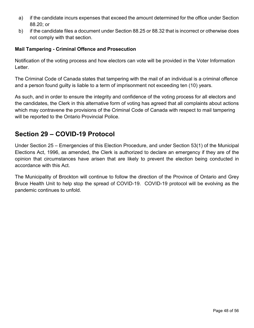- a) if the candidate incurs expenses that exceed the amount determined for the office under Section 88.20; or
- b) if the candidate files a document under Section 88.25 or 88.32 that is incorrect or otherwise does not comply with that section.

#### **Mail Tampering - Criminal Offence and Prosecution**

Notification of the voting process and how electors can vote will be provided in the Voter Information Letter.

The Criminal Code of Canada states that tampering with the mail of an individual is a criminal offence and a person found guilty is liable to a term of imprisonment not exceeding ten (10) years.

As such, and in order to ensure the integrity and confidence of the voting process for all electors and the candidates, the Clerk in this alternative form of voting has agreed that all complaints about actions which may contravene the provisions of the Criminal Code of Canada with respect to mail tampering will be reported to the Ontario Provincial Police.

## <span id="page-47-0"></span>**Section 29 – COVID-19 Protocol**

Under Section 25 – Emergencies of this Election Procedure, and under Section 53(1) of the Municipal Elections Act, 1996, as amended, the Clerk is authorized to declare an emergency if they are of the opinion that circumstances have arisen that are likely to prevent the election being conducted in accordance with this Act.

The Municipality of Brockton will continue to follow the direction of the Province of Ontario and Grey Bruce Health Unit to help stop the spread of COVID-19. COVID-19 protocol will be evolving as the pandemic continues to unfold.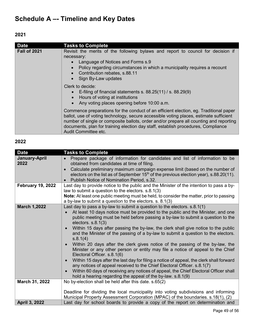# <span id="page-48-0"></span>**Schedule A –- Timeline and Key Dates**

**2021**

| <b>Date</b>         | <b>Tasks to Complete</b>                                                                                                                                                                                                                                                                                                                                                               |
|---------------------|----------------------------------------------------------------------------------------------------------------------------------------------------------------------------------------------------------------------------------------------------------------------------------------------------------------------------------------------------------------------------------------|
| <b>Fall of 2021</b> | Revisit the merits of the following bylaws and report to council for decision if<br>necessary:<br>Language of Notices and Forms s.9<br>Policy regarding circumstances in which a municipality requires a recount<br>• Contribution rebates, s.88.11<br>• Sign By-Law updates                                                                                                           |
|                     | Clerk to decide:<br>• E-filing of financial statements s. $88.25(11)$ / s. $88.29(9)$<br>• Hours of voting at institutions<br>• Any voting places opening before 10:00 a.m.                                                                                                                                                                                                            |
|                     | Commence preparations for the conduct of an efficient election, eg. Traditional paper<br>ballot, use of voting technology, secure accessible voting places, estimate sufficient<br>number of single or composite ballots, order and/or prepare all counting and reporting<br>documents, plan for training election day staff, establish procedures, Compliance<br>Audit Committee etc. |

## **2022**

| <b>Date</b>              | <b>Tasks to Complete</b>                                                                                                                                                                                                                                                                                                                                                                                                                                                                                                                                                                                                                                                                                                                                                                                                                                                                                                                                                                                                                              |
|--------------------------|-------------------------------------------------------------------------------------------------------------------------------------------------------------------------------------------------------------------------------------------------------------------------------------------------------------------------------------------------------------------------------------------------------------------------------------------------------------------------------------------------------------------------------------------------------------------------------------------------------------------------------------------------------------------------------------------------------------------------------------------------------------------------------------------------------------------------------------------------------------------------------------------------------------------------------------------------------------------------------------------------------------------------------------------------------|
| January-April<br>2022    | Prepare package of information for candidates and list of information to be<br>obtained from candidates at time of filing.<br>Calculate preliminary maximum campaign expense limit (based on the number of<br>electors on the list as of September $15th$ of the previous election year), s.88.20(11).<br>Publish Notice of Nomination Period, s.32.                                                                                                                                                                                                                                                                                                                                                                                                                                                                                                                                                                                                                                                                                                  |
| <b>February 19, 2022</b> | Last day to provide notice to the public and the Minister of the intention to pass a by-<br>law to submit a question to the electors. s.8.1(3)<br>Note: At least one public meeting must be held, to consider the matter, prior to passing<br>a by-law to submit a question to the electors. $s. 8.1(3)$                                                                                                                                                                                                                                                                                                                                                                                                                                                                                                                                                                                                                                                                                                                                              |
| <b>March 1,2022</b>      | Last day to pass a by-law to submit a question to the electors. $s.8.1(1)$<br>At least 10 days notice must be provided to the public and the Minister, and one<br>$\bullet$<br>public meeting must be held before passing a by-law to submit a question to the<br>electors. $s.8.1(3)$<br>Within 15 days after passing the by-law, the clerk shall give notice to the public<br>$\bullet$<br>and the Minister of the passing of a by-law to submit a question to the electors.<br>s.8.1(4)<br>Within 20 days after the clerk gives notice of the passing of the by-law, the<br>$\bullet$<br>Minister or any other person or entity may file a notice of appeal to the Chief<br>Electoral Officer. s.8.1(6)<br>Within 15 days after the last day for filing a notice of appeal, the clerk shall forward<br>$\bullet$<br>any notices of appeal received to the Chief Electoral Officer. s.8.1(7)<br>Within 60 days of receiving any notices of appeal, the Chief Electoral Officer shall<br>hold a hearing regarding the appeal of the by-law. s.8.1(9) |
| March 31, 2022           | No by-election shall be held after this date. s.65(2)<br>Deadline for dividing the local municipality into voting subdivisions and informing<br>Municipal Property Assessment Corporation (MPAC) of the boundaries. s.18(1), (2)                                                                                                                                                                                                                                                                                                                                                                                                                                                                                                                                                                                                                                                                                                                                                                                                                      |
| April 3, 2022            | Last day for school boards to provide a copy of the report on determination and                                                                                                                                                                                                                                                                                                                                                                                                                                                                                                                                                                                                                                                                                                                                                                                                                                                                                                                                                                       |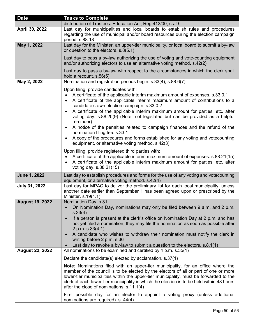| <b>Date</b>            | <b>Tasks to Complete</b>                                                                                                                                                                                                                                                                                                                                                                                                                                                                                                                                                        |
|------------------------|---------------------------------------------------------------------------------------------------------------------------------------------------------------------------------------------------------------------------------------------------------------------------------------------------------------------------------------------------------------------------------------------------------------------------------------------------------------------------------------------------------------------------------------------------------------------------------|
|                        | distribution of Trustees. Education Act, Reg 412/00, ss. 9                                                                                                                                                                                                                                                                                                                                                                                                                                                                                                                      |
| April 30, 2022         | Last day for municipalities and local boards to establish rules and procedures<br>regarding the use of municipal and/or board resources during the election campaign<br>period. s.88.18                                                                                                                                                                                                                                                                                                                                                                                         |
| May 1, 2022            | Last day for the Minister, an upper-tier municipality, or local board to submit a by-law<br>or question to the electors. s.8(5.1)                                                                                                                                                                                                                                                                                                                                                                                                                                               |
|                        | Last day to pass a by-law authorizing the use of voting and vote-counting equipment<br>and/or authorizing electors to use an alternative voting method. s.42(2)                                                                                                                                                                                                                                                                                                                                                                                                                 |
|                        | Last day to pass a by-law with respect to the circumstances in which the clerk shall<br>hold a recount. $s.56(5)$                                                                                                                                                                                                                                                                                                                                                                                                                                                               |
| May 2, 2022            | Nomination and registration periods begin. s.33(4), s.88.6(7)                                                                                                                                                                                                                                                                                                                                                                                                                                                                                                                   |
|                        | Upon filing, provide candidates with:<br>A certificate of the applicable interim maximum amount of expenses. s.33.0.1<br>$\bullet$<br>A certificate of the applicable interim maximum amount of contributions to a<br>candidate's own election campaign. s.33.0.2<br>A certificate of the applicable interim maximum amount for parties, etc. after<br>voting day. s.88.20(9) (Note: not legislated but can be provided as a helpful<br>reminder)<br>A notice of the penalties related to campaign finances and the refund of the<br>$\bullet$<br>nomination filing fee. s.33.1 |
|                        | A copy of the procedures and forms established for any voting and votecounting<br>equipment, or alternative voting method. s.42(3)                                                                                                                                                                                                                                                                                                                                                                                                                                              |
|                        | Upon filing, provide registered third parties with:<br>A certificate of the applicable interim maximum amount of expenses. s.88.21(15)<br>$\bullet$<br>A certificate of the applicable interim maximum amount for parties, etc. after<br>٠<br>voting day. s.88.21(15)                                                                                                                                                                                                                                                                                                           |
| <b>June 1, 2022</b>    | Last day to establish procedures and forms for the use of any voting and votecounting<br>equipment, or alternative voting method. s.42(4)                                                                                                                                                                                                                                                                                                                                                                                                                                       |
| July 31, 2022          | Last day for MPAC to deliver the preliminary list for each local municipality, unless<br>another date earlier than September 1 has been agreed upon or prescribed by the<br>Minister. s.19(1.1)                                                                                                                                                                                                                                                                                                                                                                                 |
| <b>August 19, 2022</b> | Nomination Day. s.31<br>On Nomination Day, nominations may only be filed between 9 a.m. and 2 p.m.<br>s.33(4)<br>If a person is present at the clerk's office on Nomination Day at 2 p.m. and has<br>$\bullet$<br>not yet filed a nomination, they may file the nomination as soon as possible after<br>2 p.m. s.33(4.1)<br>A candidate who wishes to withdraw their nomination must notify the clerk in<br>$\bullet$<br>writing before 2 p.m. s.36<br>Last day to revoke a by-law to submit a question to the electors. $s.8.1(1)$                                             |
| <b>August 22, 2022</b> | All nominations to be examined and certified by 4 p.m. s.35(1)                                                                                                                                                                                                                                                                                                                                                                                                                                                                                                                  |
|                        | Declare the candidate(s) elected by acclamation. $s.37(1)$                                                                                                                                                                                                                                                                                                                                                                                                                                                                                                                      |
|                        | <b>Note:</b> Nominations filed with an upper-tier municipality, for an office where the<br>member of the council is to be elected by the electors of all or part of one or more<br>lower-tier municipalities within the upper-tier municipality, must be forwarded to the<br>clerk of each lower-tier municipality in which the election is to be held within 48 hours<br>after the close of nominations. s.11.1(4)                                                                                                                                                             |
|                        | First possible day for an elector to appoint a voting proxy (unless additional<br>nominations are required). s. 44(4)                                                                                                                                                                                                                                                                                                                                                                                                                                                           |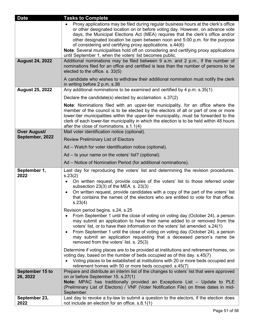| <b>Date</b>                 | <b>Tasks to Complete</b>                                                                                                                                                                                                                                                                                                                                                                                                                                                                                                                                    |
|-----------------------------|-------------------------------------------------------------------------------------------------------------------------------------------------------------------------------------------------------------------------------------------------------------------------------------------------------------------------------------------------------------------------------------------------------------------------------------------------------------------------------------------------------------------------------------------------------------|
|                             | Proxy applications may be filed during regular business hours at the clerk's office<br>or other designated location on or before voting day. However, on advance vote<br>days, the Municipal Elections Act (MEA) requires that the clerk's office and/or<br>other designated location be open between noon and 5:00 p.m. for the purpose<br>of considering and certifying proxy applications. s.44(6)<br>Note: Several municipalities hold off on considering and certifying proxy applications<br>until September 1, when the voters' list becomes public. |
| <b>August 24, 2022</b>      | Additional nominations may be filed between 9 a.m. and 2 p.m., if the number of<br>nominations filed for an office and certified is less than the number of persons to be<br>elected to the office. s. 33(5)                                                                                                                                                                                                                                                                                                                                                |
|                             | A candidate who wishes to withdraw their additional nomination must notify the clerk<br>in writing before 2 p.m. s.36                                                                                                                                                                                                                                                                                                                                                                                                                                       |
| <b>August 25, 2022</b>      | Any additional nominations to be examined and certified by 4 p.m. s.35(1)                                                                                                                                                                                                                                                                                                                                                                                                                                                                                   |
|                             | Declare the candidate(s) elected by acclamation. s.37(2)                                                                                                                                                                                                                                                                                                                                                                                                                                                                                                    |
|                             | <b>Note:</b> Nominations filed with an upper-tier municipality, for an office where the<br>member of the council is to be elected by the electors of all or part of one or more<br>lower-tier municipalities within the upper-tier municipality, must be forwarded to the<br>clerk of each lower-tier municipality in which the election is to be held within 48 hours<br>after the close of nominations. s.1.1(4)                                                                                                                                          |
| <b>Over August/</b>         | Mail voter identification notice (optional).                                                                                                                                                                                                                                                                                                                                                                                                                                                                                                                |
| September, 2022             | <b>Review Preliminary List of Electors</b>                                                                                                                                                                                                                                                                                                                                                                                                                                                                                                                  |
|                             | Ad – Watch for voter identification notice (optional).                                                                                                                                                                                                                                                                                                                                                                                                                                                                                                      |
|                             | Ad – Is your name on the voters' list? (optional).                                                                                                                                                                                                                                                                                                                                                                                                                                                                                                          |
|                             | Ad – Notice of Nomination Period (for additional nominations).                                                                                                                                                                                                                                                                                                                                                                                                                                                                                              |
| September 1,<br>2022        | Last day for reproducing the voters' list and determining the revision procedures.<br>s.23(2)<br>On written request, provide copies of the voters' list to those referred under<br>$\bullet$<br>subsection $23(3)$ of the MEA. s. $23(3)$<br>On written request, provide candidates with a copy of the part of the voters' list<br>that contains the names of the electors who are entitled to vote for that office.<br>s.23(4)<br>Revision period begins. s.24, s.25                                                                                       |
|                             | From September 1 until the close of voting on voting day (October 24), a person<br>may submit an application to have their name added to or removed from the<br>voters' list, or to have their information on the voters' list amended. s.24(1)<br>From September 1 until the close of voting on voting day (October 24), a person<br>may submit an application requesting that a deceased person's name be<br>removed from the voters' list. s. 25(3)                                                                                                      |
|                             | Determine if voting places are to be provided at institutions and retirement homes, on<br>voting day, based on the number of beds occupied as of this day. s.45(7)<br>Voting places to be established at institutions with 20 or more beds occupied and<br>retirement homes with 50 or more beds occupied. s.45(7)                                                                                                                                                                                                                                          |
| September 15 to<br>26, 2022 | Prepare and distribute an interim list of the changes to voters' list that were approved<br>on or before September 15. s.27(1)<br>Note: MPAC has traditionally provided an Exceptions List - Update to PLE<br>(Preliminary List of Electors) / VNF (Voter Notification File) on three dates in mid-<br>September.                                                                                                                                                                                                                                           |
| September 23,<br>2022       | Last day to revoke a by-law to submit a question to the electors, if the election does<br>not include an election for an office. s.8.1(1)                                                                                                                                                                                                                                                                                                                                                                                                                   |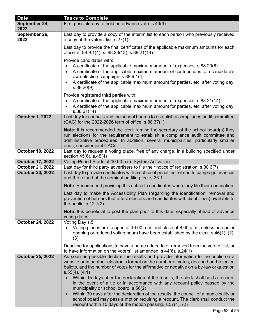| <b>Date</b>             | <b>Tasks to Complete</b>                                                                                                                                                                                                                                                                                                                                                              |
|-------------------------|---------------------------------------------------------------------------------------------------------------------------------------------------------------------------------------------------------------------------------------------------------------------------------------------------------------------------------------------------------------------------------------|
| September 24,<br>2022   | First possible day to hold an advance vote. s.43(3)                                                                                                                                                                                                                                                                                                                                   |
| September 26,<br>2022   | Last day to provide a copy of the interim list to each person who previously received<br>a copy of the voters' list. s.27(1)                                                                                                                                                                                                                                                          |
|                         | Last day to provide the final certificates of the applicable maximum amounts for each<br>office. s. 88.9.1(4), s. 88.20(13), s.88.21(14)                                                                                                                                                                                                                                              |
|                         | Provide candidates with:<br>A certificate of the applicable maximum amount of expenses. s.88.20(6)<br>$\bullet$<br>A certificate of the applicable maximum amount of contributions to a candidate's<br>own election campaign. s.88.9.1(4)<br>A certificate of the applicable maximum amount for parties, etc. after voting day.<br>$\bullet$<br>s.88.20(9)                            |
|                         | Provide registered third parties with:<br>A certificate of the applicable maximum amount of expenses. s.88.21(14)<br>$\bullet$<br>A certificate of the applicable maximum amount for parties, etc. after voting day.<br>s.88.21(14)                                                                                                                                                   |
| <b>October 1, 2022</b>  | Last day for councils and the school boards to establish a compliance audit committee<br>(CAC) for the 2022-2026 term of office. s.88.37(1)                                                                                                                                                                                                                                           |
|                         | <b>Note:</b> It is recommended the clerk remind the secretary of the school board(s) they<br>run elections for the requirement to establish a compliance audit committee and<br>administrative procedures. In addition, several municipalities, particularly smaller<br>ones, consider joint CACs.                                                                                    |
| October 10, 2022        | Last day to request a voting place, free of any charge, in a building specified under<br>section 45(6). s.45(4)                                                                                                                                                                                                                                                                       |
| <b>October 17, 2022</b> | Voting Period Starts at 10:00 a.m. System Activation                                                                                                                                                                                                                                                                                                                                  |
| October 21, 2022        | Last day for third party advertisers to file their notice of registration. s.88.6(7)                                                                                                                                                                                                                                                                                                  |
| <b>October 23, 2022</b> | Last day to provide candidates with a notice of penalties related to campaign finances<br>and the refund of the nomination filing fee. s.33.1                                                                                                                                                                                                                                         |
|                         | <b>Note:</b> Recommend providing this notice to candidates when they file their nomination.                                                                                                                                                                                                                                                                                           |
|                         | Last day to make the Accessibility Plan (regarding the identification, removal and<br>prevention of barriers that affect electors and candidates with disabilities) available to<br>the public. $s.12.1(2)$                                                                                                                                                                           |
|                         | Note: It is beneficial to post the plan prior to this date, especially ahead of advance<br>voting dates.                                                                                                                                                                                                                                                                              |
| <b>October 24, 2022</b> | Voting Day s.5<br>Voting places are to open at 10:00 a.m. and close at 8:00 p.m., unless an earlier<br>opening or reduced voting hours have been established by the clerk. s.46(1), (2),<br>(3)                                                                                                                                                                                       |
|                         | Deadline for applications to have a name added to or removed from the voters' list, or<br>to have information on the voters' list amended. $s.44(6)$ , $s.24(1)$                                                                                                                                                                                                                      |
| <b>October 25, 2022</b> | As soon as possible declare the results and provide information to the public on a<br>website or in another electronic format on the number of votes, declined and rejected<br>ballots, and the number of votes for the affirmative or negative on a by-law or question<br>$s.55(4)$ , $(4.1)$<br>Within 15 days after the declaration of the results, the clerk shall hold a recount |
|                         | in the event of a tie or in accordance with any recount policy passed by the<br>municipality or school board. s.56(2)<br>Within 30 days after the declaration of the results, the council of a municipality or<br>$\bullet$                                                                                                                                                           |
|                         | school board may pass a motion requiring a recount. The clerk shall conduct the<br>recount within 15 days of the motion passing. s.57(1), (2)                                                                                                                                                                                                                                         |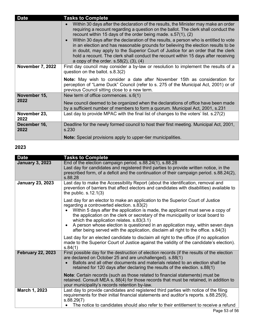| <b>Date</b>             | <b>Tasks to Complete</b>                                                                                                                                                                                                                                                                                                                                                                                                                                                                                                                                                                                                                                           |
|-------------------------|--------------------------------------------------------------------------------------------------------------------------------------------------------------------------------------------------------------------------------------------------------------------------------------------------------------------------------------------------------------------------------------------------------------------------------------------------------------------------------------------------------------------------------------------------------------------------------------------------------------------------------------------------------------------|
|                         | Within 30 days after the declaration of the results, the Minister may make an order<br>requiring a recount regarding a question on the ballot. The clerk shall conduct the<br>recount within 15 days of the order being made. s.57(1), (2)<br>Within 30 days after the declaration of the results, a person who is entitled to vote<br>$\bullet$<br>in an election and has reasonable grounds for believing the election results to be<br>in doubt, may apply to the Superior Court of Justice for an order that the clerk<br>hold a recount. The clerk shall conduct the recount within 15 days after receiving<br>a copy of the order. $s.58(2)$ , $(3)$ , $(4)$ |
| <b>November 7, 2022</b> | First day council may consider a by-law or resolution to implement the results of a                                                                                                                                                                                                                                                                                                                                                                                                                                                                                                                                                                                |
|                         | question on the ballot. s.8.3(2)                                                                                                                                                                                                                                                                                                                                                                                                                                                                                                                                                                                                                                   |
|                         | <b>Note:</b> May wish to consider a date after November 15th as consideration for<br>perception of "Lame Duck" Council (refer to s. 275 of the Municipal Act, 2001) or of<br>previous Council sitting close to a new term.                                                                                                                                                                                                                                                                                                                                                                                                                                         |
| November 15,            | New term of office commences. s.6(1)                                                                                                                                                                                                                                                                                                                                                                                                                                                                                                                                                                                                                               |
| 2022                    | New council deemed to be organized when the declarations of office have been made<br>by a sufficient number of members to form a quorum. Municipal Act, 2001, s.231                                                                                                                                                                                                                                                                                                                                                                                                                                                                                                |
| November 23,<br>2022    | Last day to provide MPAC with the final list of changes to the voters' list. s.27(2)                                                                                                                                                                                                                                                                                                                                                                                                                                                                                                                                                                               |
| December 16,<br>2022    | Deadline for the newly formed council to host their first meeting. Municipal Act, 2001,<br>s.230                                                                                                                                                                                                                                                                                                                                                                                                                                                                                                                                                                   |
|                         | <b>Note:</b> Special provisions apply to upper-tier municipalities.                                                                                                                                                                                                                                                                                                                                                                                                                                                                                                                                                                                                |

## **2023**

| <b>Tasks to Complete</b>                                                                                                                                                                                                                                                                                                                                                                                                                                                                                                |
|-------------------------------------------------------------------------------------------------------------------------------------------------------------------------------------------------------------------------------------------------------------------------------------------------------------------------------------------------------------------------------------------------------------------------------------------------------------------------------------------------------------------------|
| End of the election campaign period. s.88.24(1), s.88.28<br>Last day for candidates and registered third parties to provide written notice, in the<br>prescribed form, of a deficit and the continuation of their campaign period. s.88.24(2),<br>s.88.28<br>Last day to make the Accessibility Report (about the identification, removal and<br>prevention of barriers that affect electors and candidates with disabilities) available to<br>the public. $s.12.1(3)$                                                  |
| Last day for an elector to make an application to the Superior Court of Justice<br>regarding a controverted election. s.83(2)<br>Within 5 days after the application is made, the applicant must serve a copy of<br>the application on the clerk or secretary of the municipality or local board to<br>which the application relates. s.83(3.1)<br>A person whose election is questioned in an application may, within seven days<br>after being served with the application, disclaim all right to the office. s.84(3) |
| Last day for an elected candidate to disclaim all right to the office (if no application<br>made to the Superior Court of Justice against the validity of the candidate's election).<br>s.84(1)                                                                                                                                                                                                                                                                                                                         |
| First possible day for the destruction of election records (if the results of the election<br>are declared on October 25 and are unchallenged). s.88(1)<br>Ballots and all other documents and materials related to an election shall be<br>retained for 120 days after declaring the results of the election. s.88(1)                                                                                                                                                                                                  |
| <b>Note:</b> Certain records (such as those related to financial statements) must be<br>retained. Consult MEA s, 88(4) for those records that must be retained, in addition to<br>your municipality's records retention by-law.                                                                                                                                                                                                                                                                                         |
| Last day to provide candidates and registered third parties with notice of the filing<br>requirements for their initial financial statements and auditor's reports. s.88.25(9),<br>s.88.29(7)<br>The notice to candidates should also refer to their entitlement to receive a refund                                                                                                                                                                                                                                    |
|                                                                                                                                                                                                                                                                                                                                                                                                                                                                                                                         |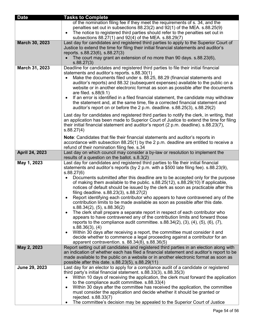| <b>Date</b>    | <b>Tasks to Complete</b>                                                                                                                                                                                                                                                                                                                                                                                                                                                                                                                                                                                                                                                                                                                                                                                                                                                                                                                                                                                                                                                                                                                                                                                                                     |
|----------------|----------------------------------------------------------------------------------------------------------------------------------------------------------------------------------------------------------------------------------------------------------------------------------------------------------------------------------------------------------------------------------------------------------------------------------------------------------------------------------------------------------------------------------------------------------------------------------------------------------------------------------------------------------------------------------------------------------------------------------------------------------------------------------------------------------------------------------------------------------------------------------------------------------------------------------------------------------------------------------------------------------------------------------------------------------------------------------------------------------------------------------------------------------------------------------------------------------------------------------------------|
|                | of the nomination filing fee if they meet the requirements of s. 34, and the<br>penalties set out in subsections $88.23(2)$ and $92(1)$ of the MEA. s.88.25(9)<br>The notice to registered third parties should refer to the penalties set out in<br>$\bullet$<br>subsections 88.27(1) and 92(4) of the MEA. s.88.29(7)                                                                                                                                                                                                                                                                                                                                                                                                                                                                                                                                                                                                                                                                                                                                                                                                                                                                                                                      |
| March 30, 2023 | Last day for candidates and registered third parties to apply to the Superior Court of<br>Justice to extend the time for filing their initial financial statements and auditor's<br>reports. s.88.23(6), s.88.27(3)                                                                                                                                                                                                                                                                                                                                                                                                                                                                                                                                                                                                                                                                                                                                                                                                                                                                                                                                                                                                                          |
|                | The court may grant an extension of no more than 90 days. s.88.23(6),<br>s.88.27(3)                                                                                                                                                                                                                                                                                                                                                                                                                                                                                                                                                                                                                                                                                                                                                                                                                                                                                                                                                                                                                                                                                                                                                          |
| March 31, 2023 | Deadline for candidates and registered third parties to file their initial financial<br>statements and auditor's reports. s.88.30(1)<br>Make the documents filed under s. 88.25, 88.29 (financial statements and<br>$\bullet$<br>auditor's reports) and 88.32 (subsequent expenses) available to the public on a<br>website or in another electronic format as soon as possible after the documents<br>are filed. s.88(9.1)<br>If an error is identified in a filed financial statement, the candidate may withdraw<br>$\bullet$<br>the statement and, at the same time, file a corrected financial statement and<br>auditor's report on or before the 2 p.m. deadline. s.88.25(3), s.88.29(2)                                                                                                                                                                                                                                                                                                                                                                                                                                                                                                                                               |
|                | Last day for candidates and registered third parties to notify the clerk, in writing, that<br>an application has been made to Superior Court of Justice to extend the time for filing<br>their initial financial statement and auditor's report (2 p.m. deadline). s.88.23(7),<br>s.88.27(4)                                                                                                                                                                                                                                                                                                                                                                                                                                                                                                                                                                                                                                                                                                                                                                                                                                                                                                                                                 |
|                | Note: Candidates that file their financial statements and auditor's reports in<br>accordance with subsection 88.25(1) by the 2 p.m. deadline are entitled to receive a<br>refund of their nomination filing fee. s.34                                                                                                                                                                                                                                                                                                                                                                                                                                                                                                                                                                                                                                                                                                                                                                                                                                                                                                                                                                                                                        |
| April 24, 2023 | Last day on which council may consider a by-law or resolution to implement the<br>results of a question on the ballot. s.8.3(2)                                                                                                                                                                                                                                                                                                                                                                                                                                                                                                                                                                                                                                                                                                                                                                                                                                                                                                                                                                                                                                                                                                              |
| May 1, 2023    | Last day for candidates and registered third parties to file their initial financial<br>statements and auditor's reports (by 2 p.m. with a \$500 late filing fee). s.88.23(9),<br>s.88.27(6)<br>Documents submitted after this deadline are to be accepted only for the purpose<br>$\bullet$<br>of making them available to the public. s.88.25(12), s.88.29(10) If applicable,<br>notices of default should be issued by the clerk as soon as practicable after this<br>filing deadline. s.88.23(3), s.88.27(2)<br>Report identifying each contributor who appears to have contravened any of the<br>contribution limits to be made available as soon as possible after this date.<br>$s.88.34(2)$ , $(5)$ , $s.88.36(2)$<br>The clerk shall prepare a separate report in respect of each contributor who<br>٠<br>appears to have contravened any of the contribution limits and forward those<br>reports to the compliance audit committee. $s.88.34(2)$ , $(3)$ , $(4)$ , $(5)$ , $(6)$ , $(7)$ ,<br>s.88.36(3), (4)<br>Within 30 days after receiving a report, the committee must consider it and<br>٠<br>decide whether to commence a legal proceeding against a contributor for an<br>apparent contravention. s. 88.34(8), s.88.36(5) |
| May 2, 2023    | Report setting out all candidates and registered third parties in an election along with<br>an indication of whether each has filed a financial statement and auditor's report to be<br>made available to the public on a website or in another electronic format as soon as<br>possible after this date. s.88.23(5), s.88.29(11)                                                                                                                                                                                                                                                                                                                                                                                                                                                                                                                                                                                                                                                                                                                                                                                                                                                                                                            |
| June 29, 2023  | Last day for an elector to apply for a compliance audit of a candidate or registered<br>third party's initial financial statement. s.88.33(3), s.88.35(3)<br>Within 10 days of receiving the application, the clerk must forward the application<br>to the compliance audit committee. s.88.33(4)<br>Within 30 days after the committee has received the application, the committee<br>$\bullet$<br>must consider the application and decide whether it should be granted or<br>rejected. s.88.33(7)<br>The committee's decision may be appealed to the Superior Court of Justice                                                                                                                                                                                                                                                                                                                                                                                                                                                                                                                                                                                                                                                            |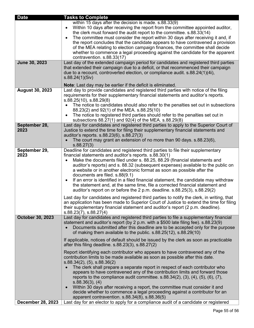| <b>Date</b>              | <b>Tasks to Complete</b>                                                                                                                                                                                                                                                                                                                                                                                                                                                                                                                                                                                                                                                                                                                                                                                                                                                                                                                                                                              |
|--------------------------|-------------------------------------------------------------------------------------------------------------------------------------------------------------------------------------------------------------------------------------------------------------------------------------------------------------------------------------------------------------------------------------------------------------------------------------------------------------------------------------------------------------------------------------------------------------------------------------------------------------------------------------------------------------------------------------------------------------------------------------------------------------------------------------------------------------------------------------------------------------------------------------------------------------------------------------------------------------------------------------------------------|
| June 30, 2023            | within 15 days after the decision is made. s.88.33(9)<br>Within 10 days after receiving the report from the committee appointed auditor,<br>$\bullet$<br>the clerk must forward the audit report to the committee. s.88.33(14)<br>The committee must consider the report within 30 days after receiving it and, if<br>$\bullet$<br>the report concludes that the candidate appears to have contravened a provision<br>of the MEA relating to election campaign finances, the committee shall decide<br>whether to commence a legal proceeding against the candidate for the apparent<br>contravention. s.88.33(17)<br>Last day of the extended campaign period for candidates and registered third parties                                                                                                                                                                                                                                                                                            |
|                          | that extended their campaign due to a deficit, or that recommenced their campaign<br>due to a recount, controverted election, or compliance audit. s.88.24(1)(4i),<br>s.88.24(1)(5iv)<br>Note: Last day may be earlier if the deficit is eliminated.                                                                                                                                                                                                                                                                                                                                                                                                                                                                                                                                                                                                                                                                                                                                                  |
| <b>August 30, 2023</b>   | Last day to provide candidates and registered third parties with notice of the filing<br>requirements for their supplementary financial statements and auditor's reports.<br>$s.88.25(10)$ , $s.88.29(8)$<br>The notice to candidates should also refer to the penalties set out in subsections<br>88.23(2) and 92(1) of the MEA. s.88.25(10)<br>The notice to registered third parties should refer to the penalties set out in<br>subsections 88.27(1) and 92(4) of the MEA. s.88.29(8)                                                                                                                                                                                                                                                                                                                                                                                                                                                                                                             |
| September 28,<br>2023    | Last day for candidates and registered third parties to apply to the Superior Court of<br>Justice to extend the time for filing their supplementary financial statements and<br>auditor's reports. s.88.23(6), s.88.27(3)<br>The court may grant an extension of no more than 90 days. s.88.23(6),<br>s.88.27(3)                                                                                                                                                                                                                                                                                                                                                                                                                                                                                                                                                                                                                                                                                      |
| September 29,<br>2023    | Deadline for candidates and registered third parties to file their supplementary<br>financial statements and auditor's reports. s.88.30(1)<br>Make the documents filed under s. 88.25, 88.29 (financial statements and<br>auditor's reports) and s. 88.32 (subsequent expenses) available to the public on<br>a website or in another electronic format as soon as possible after the<br>documents are filed. s.88(9.1)<br>If an error is identified in a filed financial statement, the candidate may withdraw<br>$\bullet$<br>the statement and, at the same time, file a corrected financial statement and<br>auditor's report on or before the 2 p.m. deadline. s.88.25(3), s.88.29(2)<br>Last day for candidates and registered third parties to notify the clerk, in writing, that<br>an application has been made to Superior Court of Justice to extend the time for filing<br>their supplementary financial statement and auditor's report (2 p.m. deadline).<br>$s.88.23(7)$ , $s.88.27(4)$ |
| October 30, 2023         | Last day for candidates and registered third parties to file a supplementary financial<br>statement and auditor's report (by 2 p.m. with a \$500 late filing fee). s.88.23(9)<br>Documents submitted after this deadline are to be accepted only for the purpose<br>of making them available to the public. s.88.25(12), s.88.29(10)<br>If applicable, notices of default should be issued by the clerk as soon as practicable<br>after this filing deadline. $s.88.23(3)$ , $s.88.27(2)$                                                                                                                                                                                                                                                                                                                                                                                                                                                                                                             |
|                          | Report identifying each contributor who appears to have contravened any of the<br>contribution limits to be made available as soon as possible after this date.<br>s.88.34(2), (5), s.88.36(2)<br>The clerk shall prepare a separate report in respect of each contributor who<br>appears to have contravened any of the contribution limits and forward those<br>reports to the compliance audit committee. $s.88.34(2)$ , $(3)$ , $(4)$ , $(5)$ , $(6)$ , $(7)$ ,<br>s.88.36(3), (4)<br>Within 30 days after receiving a report, the committee must consider it and<br>$\bullet$<br>decide whether to commence a legal proceeding against a contributor for an<br>apparent contravention. s.88.34(8), s.88.36(5)                                                                                                                                                                                                                                                                                    |
| <b>December 28, 2023</b> | Last day for an elector to apply for a compliance audit of a candidate or registered                                                                                                                                                                                                                                                                                                                                                                                                                                                                                                                                                                                                                                                                                                                                                                                                                                                                                                                  |